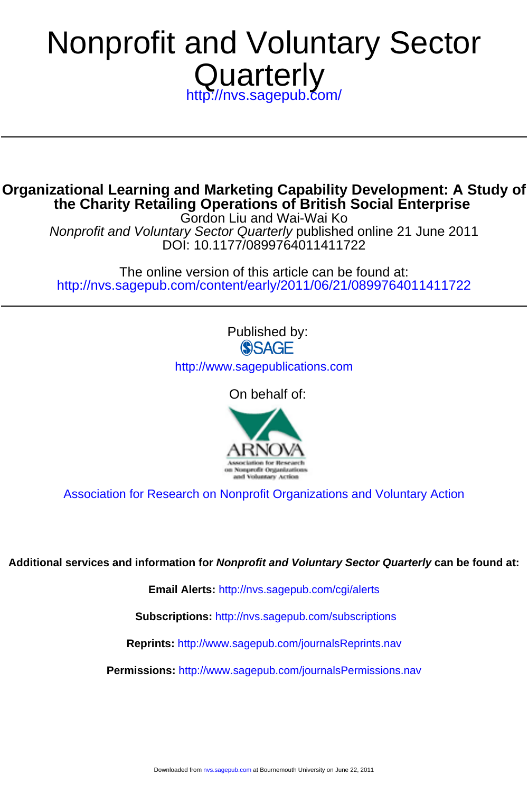# **Quarterly** Nonprofit and Voluntary Sector

<http://nvs.sagepub.com/>

# **the Charity Retailing Operations of British Social Enterprise Organizational Learning and Marketing Capability Development: A Study of**

DOI: 10.1177/0899764011411722 Nonprofit and Voluntary Sector Quarterly published online 21 June 2011 Gordon Liu and Wai-Wai Ko

<http://nvs.sagepub.com/content/early/2011/06/21/0899764011411722> The online version of this article can be found at:

> Published by:<br>
> SAGE <http://www.sagepublications.com>

> > On behalf of:



[Association for Research on Nonprofit Organizations and Voluntary Action](http://www.arnova.org)

**Additional services and information for Nonprofit and Voluntary Sector Quarterly can be found at:**

**Email Alerts:** <http://nvs.sagepub.com/cgi/alerts>

**Subscriptions:** <http://nvs.sagepub.com/subscriptions>

**Reprints:** <http://www.sagepub.com/journalsReprints.nav>

**Permissions:** <http://www.sagepub.com/journalsPermissions.nav>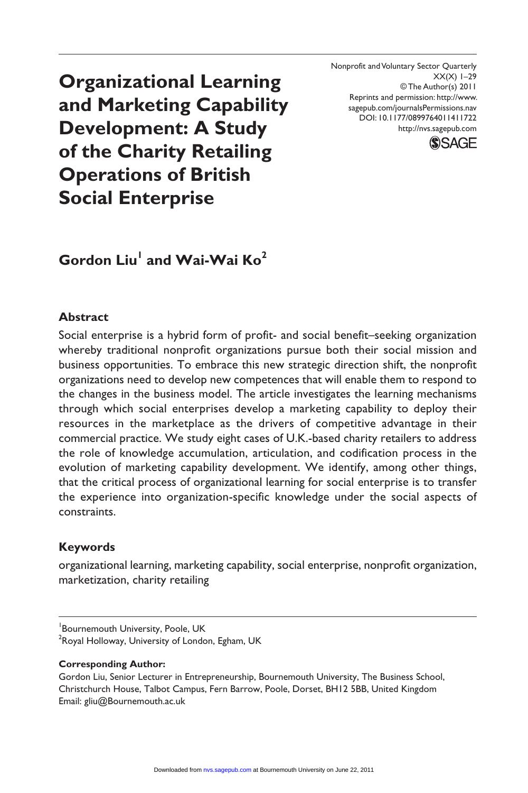**Organizational Learning and Marketing Capability Development: A Study of the Charity Retailing Operations of British Social Enterprise**

Nonprofit and Voluntary Sector Quarterly XX(X) 1–29 © The Author(s) 2011 Reprints and permission: http://www. sagepub.com/journalsPermissions.nav DOI: 10.1177/0899764011411722 http://nvs.sagepub.com



# $\mathbf C$ ordon Liu<sup>l</sup> and Wai-Wai Ko $^2$

# **Abstract**

Social enterprise is a hybrid form of profit- and social benefit–seeking organization whereby traditional nonprofit organizations pursue both their social mission and business opportunities. To embrace this new strategic direction shift, the nonprofit organizations need to develop new competences that will enable them to respond to the changes in the business model. The article investigates the learning mechanisms through which social enterprises develop a marketing capability to deploy their resources in the marketplace as the drivers of competitive advantage in their commercial practice. We study eight cases of U.K.-based charity retailers to address the role of knowledge accumulation, articulation, and codification process in the evolution of marketing capability development. We identify, among other things, that the critical process of organizational learning for social enterprise is to transfer the experience into organization-specific knowledge under the social aspects of constraints.

# **Keywords**

organizational learning, marketing capability, social enterprise, nonprofit organization, marketization, charity retailing

 $^{2}$ Royal Holloway, University of London, Egham, UK

#### **Corresponding Author:**

Gordon Liu, Senior Lecturer in Entrepreneurship, Bournemouth University, The Business School, Christchurch House, Talbot Campus, Fern Barrow, Poole, Dorset, BH12 5BB, United Kingdom Email: gliu@Bournemouth.ac.uk

<sup>1</sup> Bournemouth University, Poole, UK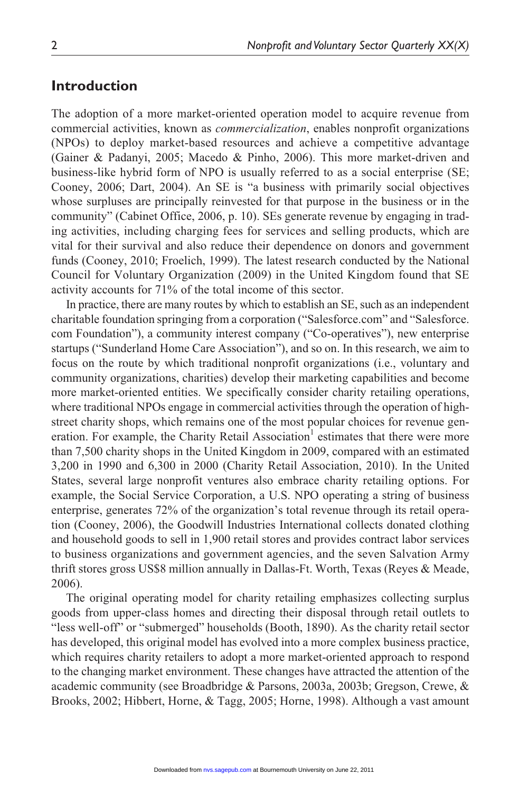# **Introduction**

The adoption of a more market-oriented operation model to acquire revenue from commercial activities, known as *commercialization*, enables nonprofit organizations (NPOs) to deploy market-based resources and achieve a competitive advantage (Gainer & Padanyi, 2005; Macedo & Pinho, 2006). This more market-driven and business-like hybrid form of NPO is usually referred to as a social enterprise (SE; Cooney, 2006; Dart, 2004). An SE is "a business with primarily social objectives whose surpluses are principally reinvested for that purpose in the business or in the community" (Cabinet Office, 2006, p. 10). SEs generate revenue by engaging in trading activities, including charging fees for services and selling products, which are vital for their survival and also reduce their dependence on donors and government funds (Cooney, 2010; Froelich, 1999). The latest research conducted by the National Council for Voluntary Organization (2009) in the United Kingdom found that SE activity accounts for 71% of the total income of this sector.

In practice, there are many routes by which to establish an SE, such as an independent charitable foundation springing from a corporation ("Salesforce.com" and "Salesforce. com Foundation"), a community interest company ("Co-operatives"), new enterprise startups ("Sunderland Home Care Association"), and so on. In this research, we aim to focus on the route by which traditional nonprofit organizations (i.e., voluntary and community organizations, charities) develop their marketing capabilities and become more market-oriented entities. We specifically consider charity retailing operations, where traditional NPOs engage in commercial activities through the operation of highstreet charity shops, which remains one of the most popular choices for revenue generation. For example, the Charity Retail Association<sup>1</sup> estimates that there were more than 7,500 charity shops in the United Kingdom in 2009, compared with an estimated 3,200 in 1990 and 6,300 in 2000 (Charity Retail Association, 2010). In the United States, several large nonprofit ventures also embrace charity retailing options. For example, the Social Service Corporation, a U.S. NPO operating a string of business enterprise, generates 72% of the organization's total revenue through its retail operation (Cooney, 2006), the Goodwill Industries International collects donated clothing and household goods to sell in 1,900 retail stores and provides contract labor services to business organizations and government agencies, and the seven Salvation Army thrift stores gross US\$8 million annually in Dallas-Ft. Worth, Texas (Reyes & Meade, 2006).

The original operating model for charity retailing emphasizes collecting surplus goods from upper-class homes and directing their disposal through retail outlets to "less well-off" or "submerged" households (Booth, 1890). As the charity retail sector has developed, this original model has evolved into a more complex business practice, which requires charity retailers to adopt a more market-oriented approach to respond to the changing market environment. These changes have attracted the attention of the academic community (see Broadbridge & Parsons, 2003a, 2003b; Gregson, Crewe, & Brooks, 2002; Hibbert, Horne, & Tagg, 2005; Horne, 1998). Although a vast amount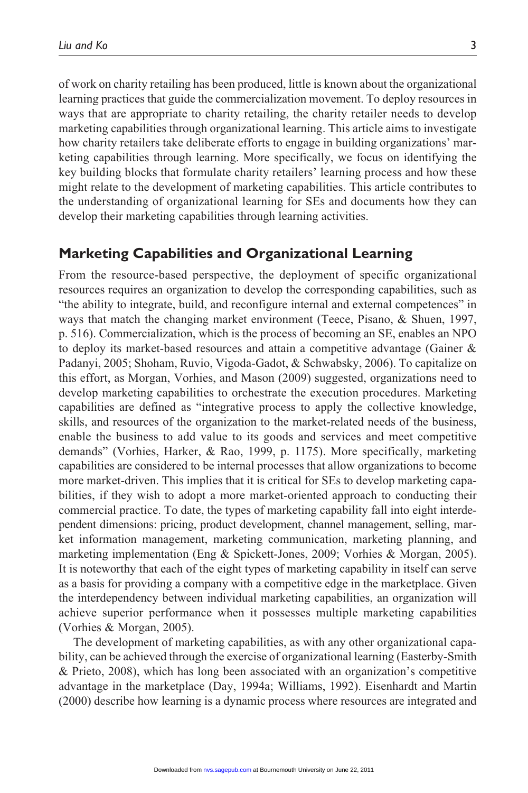of work on charity retailing has been produced, little is known about the organizational learning practices that guide the commercialization movement. To deploy resources in ways that are appropriate to charity retailing, the charity retailer needs to develop marketing capabilities through organizational learning. This article aims to investigate how charity retailers take deliberate efforts to engage in building organizations' marketing capabilities through learning. More specifically, we focus on identifying the key building blocks that formulate charity retailers' learning process and how these might relate to the development of marketing capabilities. This article contributes to the understanding of organizational learning for SEs and documents how they can develop their marketing capabilities through learning activities.

# **Marketing Capabilities and Organizational Learning**

From the resource-based perspective, the deployment of specific organizational resources requires an organization to develop the corresponding capabilities, such as "the ability to integrate, build, and reconfigure internal and external competences" in ways that match the changing market environment (Teece, Pisano, & Shuen, 1997, p. 516). Commercialization, which is the process of becoming an SE, enables an NPO to deploy its market-based resources and attain a competitive advantage (Gainer & Padanyi, 2005; Shoham, Ruvio, Vigoda-Gadot, & Schwabsky, 2006). To capitalize on this effort, as Morgan, Vorhies, and Mason (2009) suggested, organizations need to develop marketing capabilities to orchestrate the execution procedures. Marketing capabilities are defined as "integrative process to apply the collective knowledge, skills, and resources of the organization to the market-related needs of the business, enable the business to add value to its goods and services and meet competitive demands" (Vorhies, Harker, & Rao, 1999, p. 1175). More specifically, marketing capabilities are considered to be internal processes that allow organizations to become more market-driven. This implies that it is critical for SEs to develop marketing capabilities, if they wish to adopt a more market-oriented approach to conducting their commercial practice. To date, the types of marketing capability fall into eight interdependent dimensions: pricing, product development, channel management, selling, market information management, marketing communication, marketing planning, and marketing implementation (Eng & Spickett-Jones, 2009; Vorhies & Morgan, 2005). It is noteworthy that each of the eight types of marketing capability in itself can serve as a basis for providing a company with a competitive edge in the marketplace. Given the interdependency between individual marketing capabilities, an organization will achieve superior performance when it possesses multiple marketing capabilities (Vorhies & Morgan, 2005).

The development of marketing capabilities, as with any other organizational capability, can be achieved through the exercise of organizational learning (Easterby-Smith & Prieto, 2008), which has long been associated with an organization's competitive advantage in the marketplace (Day, 1994a; Williams, 1992). Eisenhardt and Martin (2000) describe how learning is a dynamic process where resources are integrated and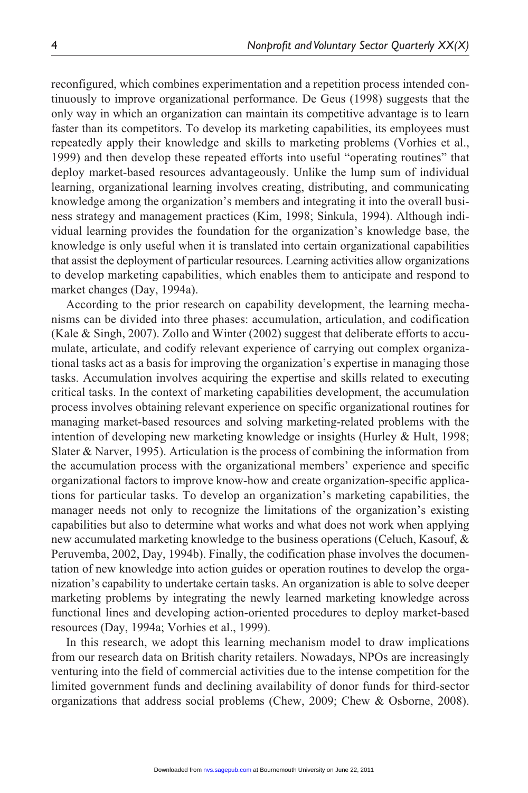reconfigured, which combines experimentation and a repetition process intended continuously to improve organizational performance. De Geus (1998) suggests that the only way in which an organization can maintain its competitive advantage is to learn faster than its competitors. To develop its marketing capabilities, its employees must repeatedly apply their knowledge and skills to marketing problems (Vorhies et al., 1999) and then develop these repeated efforts into useful "operating routines" that deploy market-based resources advantageously. Unlike the lump sum of individual learning, organizational learning involves creating, distributing, and communicating knowledge among the organization's members and integrating it into the overall business strategy and management practices (Kim, 1998; Sinkula, 1994). Although individual learning provides the foundation for the organization's knowledge base, the knowledge is only useful when it is translated into certain organizational capabilities that assist the deployment of particular resources. Learning activities allow organizations to develop marketing capabilities, which enables them to anticipate and respond to market changes (Day, 1994a).

According to the prior research on capability development, the learning mechanisms can be divided into three phases: accumulation, articulation, and codification (Kale & Singh, 2007). Zollo and Winter (2002) suggest that deliberate efforts to accumulate, articulate, and codify relevant experience of carrying out complex organizational tasks act as a basis for improving the organization's expertise in managing those tasks. Accumulation involves acquiring the expertise and skills related to executing critical tasks. In the context of marketing capabilities development, the accumulation process involves obtaining relevant experience on specific organizational routines for managing market-based resources and solving marketing-related problems with the intention of developing new marketing knowledge or insights (Hurley & Hult, 1998; Slater & Narver, 1995). Articulation is the process of combining the information from the accumulation process with the organizational members' experience and specific organizational factors to improve know-how and create organization-specific applications for particular tasks. To develop an organization's marketing capabilities, the manager needs not only to recognize the limitations of the organization's existing capabilities but also to determine what works and what does not work when applying new accumulated marketing knowledge to the business operations (Celuch, Kasouf, & Peruvemba, 2002, Day, 1994b). Finally, the codification phase involves the documentation of new knowledge into action guides or operation routines to develop the organization's capability to undertake certain tasks. An organization is able to solve deeper marketing problems by integrating the newly learned marketing knowledge across functional lines and developing action-oriented procedures to deploy market-based resources (Day, 1994a; Vorhies et al., 1999).

In this research, we adopt this learning mechanism model to draw implications from our research data on British charity retailers. Nowadays, NPOs are increasingly venturing into the field of commercial activities due to the intense competition for the limited government funds and declining availability of donor funds for third-sector organizations that address social problems (Chew, 2009; Chew & Osborne, 2008).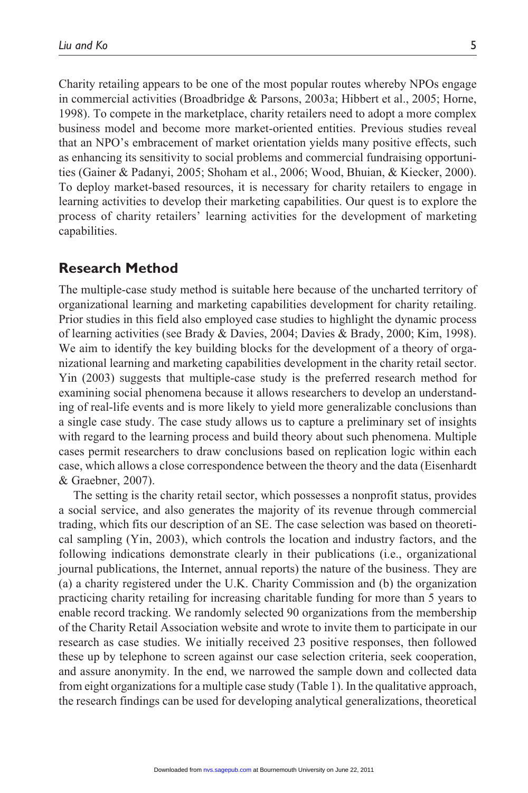Charity retailing appears to be one of the most popular routes whereby NPOs engage in commercial activities (Broadbridge & Parsons, 2003a; Hibbert et al., 2005; Horne, 1998). To compete in the marketplace, charity retailers need to adopt a more complex business model and become more market-oriented entities. Previous studies reveal that an NPO's embracement of market orientation yields many positive effects, such as enhancing its sensitivity to social problems and commercial fundraising opportunities (Gainer & Padanyi, 2005; Shoham et al., 2006; Wood, Bhuian, & Kiecker, 2000). To deploy market-based resources, it is necessary for charity retailers to engage in learning activities to develop their marketing capabilities. Our quest is to explore the process of charity retailers' learning activities for the development of marketing capabilities.

# **Research Method**

The multiple-case study method is suitable here because of the uncharted territory of organizational learning and marketing capabilities development for charity retailing. Prior studies in this field also employed case studies to highlight the dynamic process of learning activities (see Brady & Davies, 2004; Davies & Brady, 2000; Kim, 1998). We aim to identify the key building blocks for the development of a theory of organizational learning and marketing capabilities development in the charity retail sector. Yin (2003) suggests that multiple-case study is the preferred research method for examining social phenomena because it allows researchers to develop an understanding of real-life events and is more likely to yield more generalizable conclusions than a single case study. The case study allows us to capture a preliminary set of insights with regard to the learning process and build theory about such phenomena. Multiple cases permit researchers to draw conclusions based on replication logic within each case, which allows a close correspondence between the theory and the data (Eisenhardt & Graebner, 2007).

The setting is the charity retail sector, which possesses a nonprofit status, provides a social service, and also generates the majority of its revenue through commercial trading, which fits our description of an SE. The case selection was based on theoretical sampling (Yin, 2003), which controls the location and industry factors, and the following indications demonstrate clearly in their publications (i.e., organizational journal publications, the Internet, annual reports) the nature of the business. They are (a) a charity registered under the U.K. Charity Commission and (b) the organization practicing charity retailing for increasing charitable funding for more than 5 years to enable record tracking. We randomly selected 90 organizations from the membership of the Charity Retail Association website and wrote to invite them to participate in our research as case studies. We initially received 23 positive responses, then followed these up by telephone to screen against our case selection criteria, seek cooperation, and assure anonymity. In the end, we narrowed the sample down and collected data from eight organizations for a multiple case study (Table 1). In the qualitative approach, the research findings can be used for developing analytical generalizations, theoretical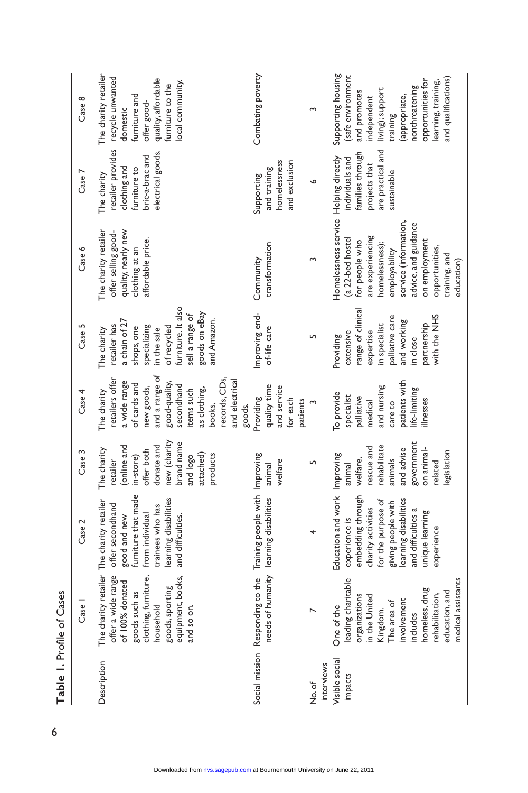|                           | Case I                                                                                                                                                                                              | Case <sub>2</sub>                                                                                                                                                                                                    | Case 3                                                                                                                                            | Case 4                                                                                                                                                                                                             | Case 5                                                                                                                                                                            | Case 6                                                                                                                                                                                                                                                | Case 7                                                                                                   | Case 8                                                                                                                                                                                                      |
|---------------------------|-----------------------------------------------------------------------------------------------------------------------------------------------------------------------------------------------------|----------------------------------------------------------------------------------------------------------------------------------------------------------------------------------------------------------------------|---------------------------------------------------------------------------------------------------------------------------------------------------|--------------------------------------------------------------------------------------------------------------------------------------------------------------------------------------------------------------------|-----------------------------------------------------------------------------------------------------------------------------------------------------------------------------------|-------------------------------------------------------------------------------------------------------------------------------------------------------------------------------------------------------------------------------------------------------|----------------------------------------------------------------------------------------------------------|-------------------------------------------------------------------------------------------------------------------------------------------------------------------------------------------------------------|
| Description               | offer a wide range<br>clothing, furniture,<br>equipment, books,<br>of 100% donated<br>goods, sporting<br>goods such as<br>household<br>and so on.                                                   | furniture that made<br>learning disabilities<br>The charity retailer The charity retailer<br>offer secondhand<br>trainees who has<br>from individual<br>and difficulties.<br>good and new                            | new (charity<br>brand name<br>donate and<br>online and<br>The charity<br>offer both<br>attached)<br>and logo<br>in-store)<br>products<br>retailer | and a range of<br>records, CDs,<br>retailers offer<br>and electrical<br>a wide range<br>good-quality,<br>of cards and<br>new goods,<br>secondhand<br>as clothing,<br>items such<br>The charity<br>books,<br>goods. | furniture. It also<br>goods on eBay<br>sell a range of<br>and Amazon.<br>a chain of 27<br>retailer has<br>specializing<br>of recycled<br>shops, one<br>in the sale<br>The charity | The charity retailer<br>offer selling good-<br>quality, nearly new<br>affordable price.<br>clothing at an                                                                                                                                             | retailer provides<br>electrical goods.<br>bric-a-brac and<br>clothing and<br>furniture to<br>The charity | The charity retailer<br>recycle unwanted<br>quality, affordable<br>ocal community.<br>furniture to the<br>furniture and<br>offer good-<br>domestic                                                          |
|                           |                                                                                                                                                                                                     | Social mission Responding to the Training people with<br>needs of humanity learning disabilities                                                                                                                     | Improving<br>welfare<br>animal                                                                                                                    | quality time<br>and service<br>Providing<br>for each<br>patients                                                                                                                                                   | Improving end-<br>of-life care                                                                                                                                                    | transformation<br>Community                                                                                                                                                                                                                           | homelessness<br>and exclusion<br>and training<br>Supporting                                              | Combating poverty                                                                                                                                                                                           |
| interviews<br>No.of       |                                                                                                                                                                                                     |                                                                                                                                                                                                                      | S                                                                                                                                                 | $\sim$                                                                                                                                                                                                             | LO <sub>1</sub>                                                                                                                                                                   |                                                                                                                                                                                                                                                       | Ğ                                                                                                        |                                                                                                                                                                                                             |
| Visible social<br>impacts | medical assistants<br>leading charitable<br>homeless, drug<br>education, and<br>rehabilitation,<br>organizations<br>n the United<br>nvolvement<br>The area of<br>One of the<br>Kingdom.<br>includes | Education and work Improving<br>embedding through<br>learning disabilities<br>for the purpose of<br>giving people with<br>charity activities<br>and difficulties a<br>unique learning<br>experience is<br>experience | government<br>rehabilitate<br>rescue and<br>on animal-<br>and advise<br>egislation<br>welfare,<br>animals<br>related<br>animal                    | patients with<br>and nursing<br>ife-limiting<br>To provide<br>specialist<br>palliative<br>llnesses<br>care to<br>medical                                                                                           | range of clinical<br>with the NHS<br>palliative care<br>and working<br>partnership<br>in specialist<br>expertise<br>extensive<br>Providing<br>n close                             | Homelessness service Helping directly<br>service (information,<br>advice, and guidance<br>are experiencing<br>(a 22-bed hostel<br>on employment<br>for people who<br>homelessness);<br>opportunities,<br>employability<br>training, and<br>aducation) | are practical and<br>families through<br>individuals and<br>projects that<br>sustainable                 | Supporting housing<br>(safe environment<br>and qualifications)<br>opportunities for<br>learning, training,<br>nonthreatening<br>living); support<br>and promotes<br>appropriate,<br>independent<br>training |

Table 1. Profile of Cases **Table 1.** Profile of Cases

Downloaded from [nvs.sagepub.com](http://nvs.sagepub.com/) at Bournemouth University on June 22, 2011

6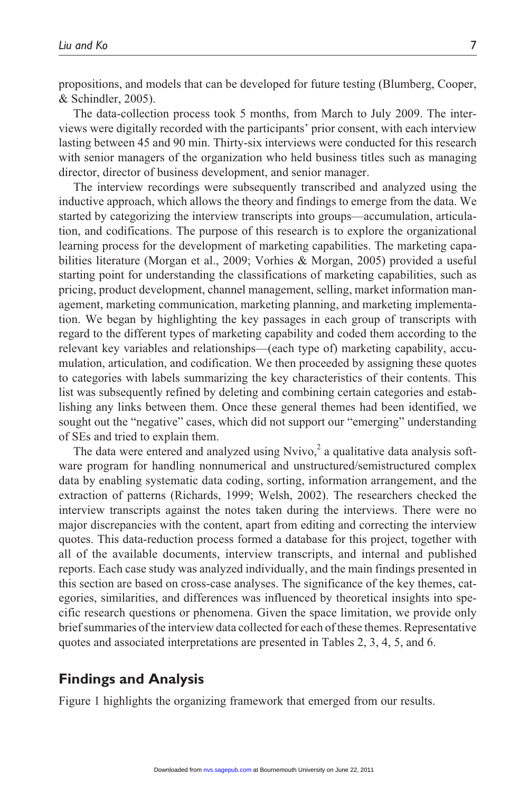propositions, and models that can be developed for future testing (Blumberg, Cooper, & Schindler, 2005).

The data-collection process took 5 months, from March to July 2009. The interviews were digitally recorded with the participants' prior consent, with each interview lasting between 45 and 90 min. Thirty-six interviews were conducted for this research with senior managers of the organization who held business titles such as managing director, director of business development, and senior manager.

The interview recordings were subsequently transcribed and analyzed using the inductive approach, which allows the theory and findings to emerge from the data. We started by categorizing the interview transcripts into groups—accumulation, articulation, and codifications. The purpose of this research is to explore the organizational learning process for the development of marketing capabilities. The marketing capabilities literature (Morgan et al., 2009; Vorhies & Morgan, 2005) provided a useful starting point for understanding the classifications of marketing capabilities, such as pricing, product development, channel management, selling, market information management, marketing communication, marketing planning, and marketing implementation. We began by highlighting the key passages in each group of transcripts with regard to the different types of marketing capability and coded them according to the relevant key variables and relationships—(each type of) marketing capability, accumulation, articulation, and codification. We then proceeded by assigning these quotes to categories with labels summarizing the key characteristics of their contents. This list was subsequently refined by deleting and combining certain categories and establishing any links between them. Once these general themes had been identified, we sought out the "negative" cases, which did not support our "emerging" understanding of SEs and tried to explain them.

The data were entered and analyzed using Nvivo,<sup>2</sup> a qualitative data analysis software program for handling nonnumerical and unstructured/semistructured complex data by enabling systematic data coding, sorting, information arrangement, and the extraction of patterns (Richards, 1999; Welsh, 2002). The researchers checked the interview transcripts against the notes taken during the interviews. There were no major discrepancies with the content, apart from editing and correcting the interview quotes. This data-reduction process formed a database for this project, together with all of the available documents, interview transcripts, and internal and published reports. Each case study was analyzed individually, and the main findings presented in this section are based on cross-case analyses. The significance of the key themes, categories, similarities, and differences was influenced by theoretical insights into specific research questions or phenomena. Given the space limitation, we provide only brief summaries of the interview data collected for each of these themes. Representative quotes and associated interpretations are presented in Tables 2, 3, 4, 5, and 6.

# **Findings and Analysis**

Figure 1 highlights the organizing framework that emerged from our results.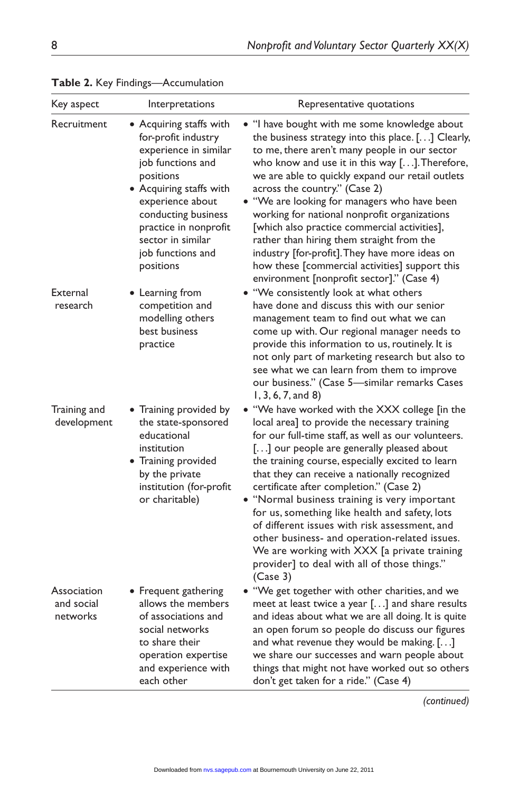| Key aspect                            | Interpretations                                                                                                                                                                                                                                                 | Representative quotations                                                                                                                                                                                                                                                                                                                                                                                                                                                                                                                                                                                                                                           |
|---------------------------------------|-----------------------------------------------------------------------------------------------------------------------------------------------------------------------------------------------------------------------------------------------------------------|---------------------------------------------------------------------------------------------------------------------------------------------------------------------------------------------------------------------------------------------------------------------------------------------------------------------------------------------------------------------------------------------------------------------------------------------------------------------------------------------------------------------------------------------------------------------------------------------------------------------------------------------------------------------|
| Recruitment                           | • Acquiring staffs with<br>for-profit industry<br>experience in similar<br>job functions and<br>positions<br>• Acquiring staffs with<br>experience about<br>conducting business<br>practice in nonprofit<br>sector in similar<br>job functions and<br>positions | • "I have bought with me some knowledge about<br>the business strategy into this place. [] Clearly,<br>to me, there aren't many people in our sector<br>who know and use it in this way []. Therefore,<br>we are able to quickly expand our retail outlets<br>across the country." (Case 2)<br>• "We are looking for managers who have been<br>working for national nonprofit organizations<br>[which also practice commercial activities],<br>rather than hiring them straight from the<br>industry [for-profit]. They have more ideas on<br>how these [commercial activities] support this<br>environment [nonprofit sector]." (Case 4)                           |
| External<br>research                  | • Learning from<br>competition and<br>modelling others<br>best business<br>practice                                                                                                                                                                             | • "We consistently look at what others<br>have done and discuss this with our senior<br>management team to find out what we can<br>come up with. Our regional manager needs to<br>provide this information to us, routinely. It is<br>not only part of marketing research but also to<br>see what we can learn from them to improve<br>our business." (Case 5-similar remarks Cases<br>1, 3, 6, 7, and 8)                                                                                                                                                                                                                                                           |
| Training and<br>development           | • Training provided by<br>the state-sponsored<br>educational<br>institution<br>• Training provided<br>by the private<br>institution (for-profit<br>or charitable)                                                                                               | • "We have worked with the XXX college [in the<br>local area] to provide the necessary training<br>for our full-time staff, as well as our volunteers.<br>[] our people are generally pleased about<br>the training course, especially excited to learn<br>that they can receive a nationally recognized<br>certificate after completion." (Case 2)<br>• "Normal business training is very important<br>for us, something like health and safety, lots<br>of different issues with risk assessment, and<br>other business- and operation-related issues.<br>We are working with XXX [a private training<br>provider] to deal with all of those things."<br>(Case 3) |
| Association<br>and social<br>networks | • Frequent gathering<br>allows the members<br>of associations and<br>social networks<br>to share their<br>operation expertise<br>and experience with<br>each other                                                                                              | • "We get together with other charities, and we<br>meet at least twice a year [] and share results<br>and ideas about what we are all doing. It is quite<br>an open forum so people do discuss our figures<br>and what revenue they would be making. []<br>we share our successes and warn people about<br>things that might not have worked out so others<br>don't get taken for a ride." (Case 4)                                                                                                                                                                                                                                                                 |

**Table 2.** Key Findings—Accumulation

*(continued)*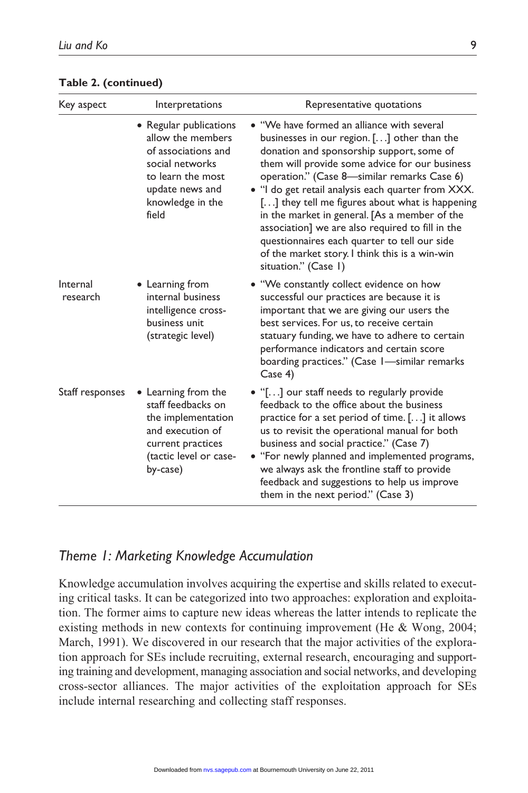| Key aspect           | Interpretations                                                                                                                                            | Representative quotations                                                                                                                                                                                                                                                                                                                                                                                                                                                                                                                                                       |
|----------------------|------------------------------------------------------------------------------------------------------------------------------------------------------------|---------------------------------------------------------------------------------------------------------------------------------------------------------------------------------------------------------------------------------------------------------------------------------------------------------------------------------------------------------------------------------------------------------------------------------------------------------------------------------------------------------------------------------------------------------------------------------|
|                      | • Regular publications<br>allow the members<br>of associations and<br>social networks<br>to learn the most<br>update news and<br>knowledge in the<br>field | • "We have formed an alliance with several<br>businesses in our region. [] other than the<br>donation and sponsorship support, some of<br>them will provide some advice for our business<br>operation." (Case 8-similar remarks Case 6)<br>• "I do get retail analysis each quarter from XXX.<br>[] they tell me figures about what is happening<br>in the market in general. [As a member of the<br>association] we are also required to fill in the<br>questionnaires each quarter to tell our side<br>of the market story. I think this is a win-win<br>situation." (Case 1) |
| Internal<br>research | • Learning from<br>internal business<br>intelligence cross-<br>business unit<br>(strategic level)                                                          | • "We constantly collect evidence on how<br>successful our practices are because it is<br>important that we are giving our users the<br>best services. For us, to receive certain<br>statuary funding, we have to adhere to certain<br>performance indicators and certain score<br>boarding practices." (Case I-similar remarks<br>Case 4)                                                                                                                                                                                                                                      |
| Staff responses      | • Learning from the<br>staff feedbacks on<br>the implementation<br>and execution of<br>current practices<br>(tactic level or case-<br>by-case)             | • "[] our staff needs to regularly provide<br>feedback to the office about the business<br>practice for a set period of time. [] it allows<br>us to revisit the operational manual for both<br>business and social practice." (Case 7)<br>• "For newly planned and implemented programs,<br>we always ask the frontline staff to provide<br>feedback and suggestions to help us improve<br>them in the next period." (Case 3)                                                                                                                                                   |

# **Table 2. (continued)**

# *Theme 1: Marketing Knowledge Accumulation*

Knowledge accumulation involves acquiring the expertise and skills related to executing critical tasks. It can be categorized into two approaches: exploration and exploitation. The former aims to capture new ideas whereas the latter intends to replicate the existing methods in new contexts for continuing improvement (He & Wong, 2004; March, 1991). We discovered in our research that the major activities of the exploration approach for SEs include recruiting, external research, encouraging and supporting training and development, managing association and social networks, and developing cross-sector alliances. The major activities of the exploitation approach for SEs include internal researching and collecting staff responses.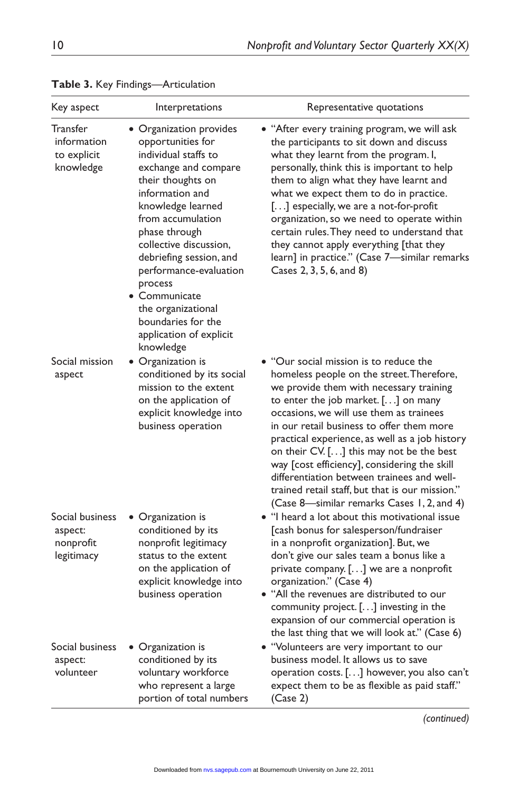| Key aspect                                            | Interpretations                                                                                                                                                                                                                                                                                                                                                                                        | Representative quotations                                                                                                                                                                                                                                                                                                                                                                                                                                                                                                                                          |
|-------------------------------------------------------|--------------------------------------------------------------------------------------------------------------------------------------------------------------------------------------------------------------------------------------------------------------------------------------------------------------------------------------------------------------------------------------------------------|--------------------------------------------------------------------------------------------------------------------------------------------------------------------------------------------------------------------------------------------------------------------------------------------------------------------------------------------------------------------------------------------------------------------------------------------------------------------------------------------------------------------------------------------------------------------|
| Transfer<br>information<br>to explicit<br>knowledge   | • Organization provides<br>opportunities for<br>individual staffs to<br>exchange and compare<br>their thoughts on<br>information and<br>knowledge learned<br>from accumulation<br>phase through<br>collective discussion,<br>debriefing session, and<br>performance-evaluation<br>process<br>$\bullet$ Communicate<br>the organizational<br>boundaries for the<br>application of explicit<br>knowledge | • "After every training program, we will ask<br>the participants to sit down and discuss<br>what they learnt from the program. I,<br>personally, think this is important to help<br>them to align what they have learnt and<br>what we expect them to do in practice.<br>[] especially, we are a not-for-profit<br>organization, so we need to operate within<br>certain rules. They need to understand that<br>they cannot apply everything [that they<br>learn] in practice." (Case 7-similar remarks<br>Cases 2, 3, 5, 6, and 8)                                |
| Social mission<br>aspect                              | • Organization is<br>conditioned by its social<br>mission to the extent<br>on the application of<br>explicit knowledge into<br>business operation                                                                                                                                                                                                                                                      | $\bullet$ "Our social mission is to reduce the<br>homeless people on the street. Therefore,<br>we provide them with necessary training<br>to enter the job market. [] on many<br>occasions, we will use them as trainees<br>in our retail business to offer them more<br>practical experience, as well as a job history<br>on their CV. [] this may not be the best<br>way [cost efficiency], considering the skill<br>differentiation between trainees and well-<br>trained retail staff, but that is our mission."<br>(Case 8-similar remarks Cases 1, 2, and 4) |
| Social business<br>aspect:<br>nonprofit<br>legitimacy | • Organization is<br>conditioned by its<br>nonprofit legitimacy<br>status to the extent<br>on the application of<br>explicit knowledge into<br>business operation                                                                                                                                                                                                                                      | • "I heard a lot about this motivational issue<br>[cash bonus for salesperson/fundraiser<br>in a nonprofit organization]. But, we<br>don't give our sales team a bonus like a<br>private company. [] we are a nonprofit<br>organization." (Case 4)<br>• "All the revenues are distributed to our<br>community project. [] investing in the<br>expansion of our commercial operation is<br>the last thing that we will look at." (Case 6)                                                                                                                           |
| Social business<br>aspect:<br>volunteer               | • Organization is<br>conditioned by its<br>voluntary workforce<br>who represent a large<br>portion of total numbers                                                                                                                                                                                                                                                                                    | • "Volunteers are very important to our<br>business model. It allows us to save<br>operation costs. [] however, you also can't<br>expect them to be as flexible as paid staff."<br>(Case 2)                                                                                                                                                                                                                                                                                                                                                                        |

*(continued)*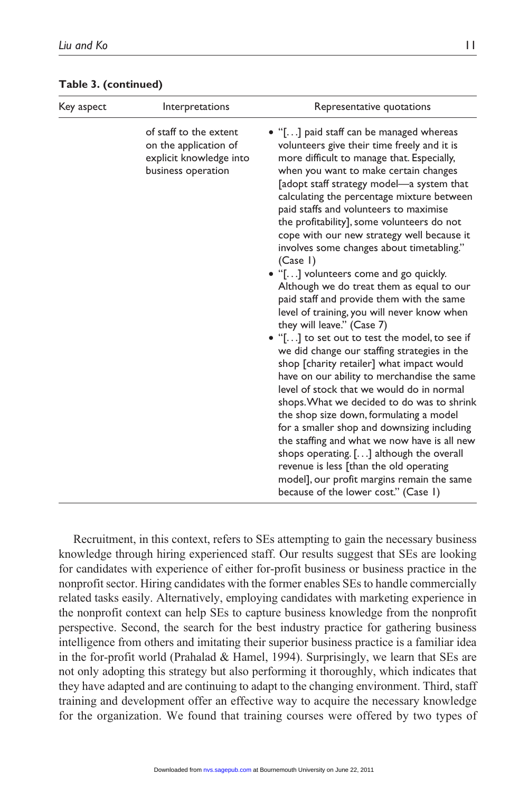| Key aspect | Interpretations                                                                                  | Representative quotations                                                                                                                                                                                                                                                                                                                                                                                                                                                                                                                                                                                                                                                                                                                                                                                                                                                                                                                                                                                                                                                                                                                                                                                                                                               |
|------------|--------------------------------------------------------------------------------------------------|-------------------------------------------------------------------------------------------------------------------------------------------------------------------------------------------------------------------------------------------------------------------------------------------------------------------------------------------------------------------------------------------------------------------------------------------------------------------------------------------------------------------------------------------------------------------------------------------------------------------------------------------------------------------------------------------------------------------------------------------------------------------------------------------------------------------------------------------------------------------------------------------------------------------------------------------------------------------------------------------------------------------------------------------------------------------------------------------------------------------------------------------------------------------------------------------------------------------------------------------------------------------------|
|            | of staff to the extent<br>on the application of<br>explicit knowledge into<br>business operation | • "[ $\dots$ ] paid staff can be managed whereas<br>volunteers give their time freely and it is<br>more difficult to manage that. Especially,<br>when you want to make certain changes<br>[adopt staff strategy model-a system that<br>calculating the percentage mixture between<br>paid staffs and volunteers to maximise<br>the profitability], some volunteers do not<br>cope with our new strategy well because it<br>involves some changes about timetabling."<br>(Case I)<br>• "[] volunteers come and go quickly.<br>Although we do treat them as equal to our<br>paid staff and provide them with the same<br>level of training, you will never know when<br>they will leave." (Case 7)<br>• "[] to set out to test the model, to see if<br>we did change our staffing strategies in the<br>shop [charity retailer] what impact would<br>have on our ability to merchandise the same<br>level of stock that we would do in normal<br>shops. What we decided to do was to shrink<br>the shop size down, formulating a model<br>for a smaller shop and downsizing including<br>the staffing and what we now have is all new<br>shops operating. [] although the overall<br>revenue is less [than the old operating<br>model], our profit margins remain the same |

**Table 3. (continued)**

Recruitment, in this context, refers to SEs attempting to gain the necessary business knowledge through hiring experienced staff. Our results suggest that SEs are looking for candidates with experience of either for-profit business or business practice in the nonprofit sector. Hiring candidates with the former enables SEs to handle commercially related tasks easily. Alternatively, employing candidates with marketing experience in the nonprofit context can help SEs to capture business knowledge from the nonprofit perspective. Second, the search for the best industry practice for gathering business intelligence from others and imitating their superior business practice is a familiar idea in the for-profit world (Prahalad & Hamel, 1994). Surprisingly, we learn that SEs are not only adopting this strategy but also performing it thoroughly, which indicates that they have adapted and are continuing to adapt to the changing environment. Third, staff training and development offer an effective way to acquire the necessary knowledge for the organization. We found that training courses were offered by two types of

because of the lower cost." (Case 1)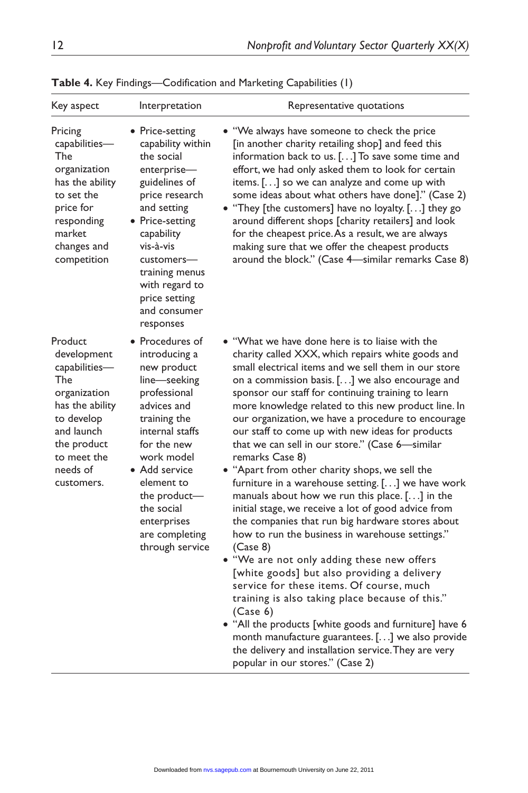| Key aspect                                                                                                                                                            | Interpretation                                                                                                                                                                                                                                                                  | Representative quotations                                                                                                                                                                                                                                                                                                                                                                                                                                                                                                                                                                                                                                                                                                                                                                                                                                                                                                                                                                                                                                                                                                                                                                                                                                         |
|-----------------------------------------------------------------------------------------------------------------------------------------------------------------------|---------------------------------------------------------------------------------------------------------------------------------------------------------------------------------------------------------------------------------------------------------------------------------|-------------------------------------------------------------------------------------------------------------------------------------------------------------------------------------------------------------------------------------------------------------------------------------------------------------------------------------------------------------------------------------------------------------------------------------------------------------------------------------------------------------------------------------------------------------------------------------------------------------------------------------------------------------------------------------------------------------------------------------------------------------------------------------------------------------------------------------------------------------------------------------------------------------------------------------------------------------------------------------------------------------------------------------------------------------------------------------------------------------------------------------------------------------------------------------------------------------------------------------------------------------------|
| Pricing<br>capabilities-<br>The<br>organization<br>has the ability<br>to set the<br>price for<br>responding<br>market<br>changes and<br>competition                   | • Price-setting<br>capability within<br>the social<br>enterprise-<br>guidelines of<br>price research<br>and setting<br>• Price-setting<br>capability<br>vis-à-vis<br>customers-<br>training menus<br>with regard to<br>price setting<br>and consumer<br>responses               | • "We always have someone to check the price<br>[in another charity retailing shop] and feed this<br>information back to us. [] To save some time and<br>effort, we had only asked them to look for certain<br>items. [] so we can analyze and come up with<br>some ideas about what others have done]." (Case 2)<br>• "They [the customers] have no loyalty. [] they go<br>around different shops [charity retailers] and look<br>for the cheapest price. As a result, we are always<br>making sure that we offer the cheapest products<br>around the block." (Case 4-similar remarks Case 8)                                                                                                                                                                                                                                                                                                                                                                                                                                                                                                                                                                                                                                                                    |
| Product<br>development<br>capabilities-<br>The<br>organization<br>has the ability<br>to develop<br>and launch<br>the product<br>to meet the<br>needs of<br>customers. | • Procedures of<br>introducing a<br>new product<br>line-seeking<br>professional<br>advices and<br>training the<br>internal staffs<br>for the new<br>work model<br>• Add service<br>element to<br>the product—<br>the social<br>enterprises<br>are completing<br>through service | • "What we have done here is to liaise with the<br>charity called XXX, which repairs white goods and<br>small electrical items and we sell them in our store<br>on a commission basis. [] we also encourage and<br>sponsor our staff for continuing training to learn<br>more knowledge related to this new product line. In<br>our organization, we have a procedure to encourage<br>our staff to come up with new ideas for products<br>that we can sell in our store." (Case 6-similar<br>remarks Case 8)<br>• "Apart from other charity shops, we sell the<br>furniture in a warehouse setting. [] we have work<br>manuals about how we run this place. [] in the<br>initial stage, we receive a lot of good advice from<br>the companies that run big hardware stores about<br>how to run the business in warehouse settings."<br>(Case 8)<br>• "We are not only adding these new offers<br>[white goods] but also providing a delivery<br>service for these items. Of course, much<br>training is also taking place because of this."<br>(Case 6)<br>• "All the products [white goods and furniture] have 6<br>month manufacture guarantees. [] we also provide<br>the delivery and installation service. They are very<br>popular in our stores." (Case 2) |

**Table 4.** Key Findings—Codification and Marketing Capabilities (1)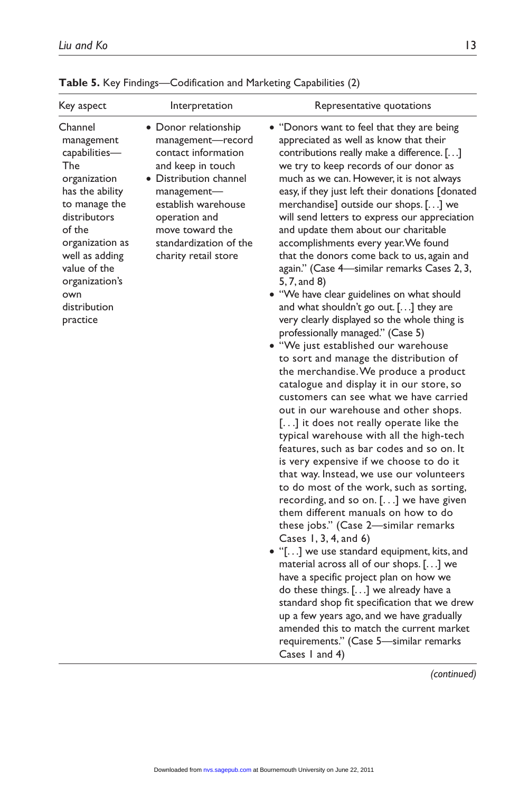| Key aspect                                                                                                                                                                                                                            | Interpretation                                                                                                                                                                                                                              | Representative quotations                                                                                                                                                                                                                                                                                                                                                                                                                                                                                                                                                                                                                                                                                                                                                                                                                                                                                                                                                                                                                                                                                                                                                                                                                                                                                                                                                                                                                                                                                                                                                                                                                                                                                                                                                                                             |
|---------------------------------------------------------------------------------------------------------------------------------------------------------------------------------------------------------------------------------------|---------------------------------------------------------------------------------------------------------------------------------------------------------------------------------------------------------------------------------------------|-----------------------------------------------------------------------------------------------------------------------------------------------------------------------------------------------------------------------------------------------------------------------------------------------------------------------------------------------------------------------------------------------------------------------------------------------------------------------------------------------------------------------------------------------------------------------------------------------------------------------------------------------------------------------------------------------------------------------------------------------------------------------------------------------------------------------------------------------------------------------------------------------------------------------------------------------------------------------------------------------------------------------------------------------------------------------------------------------------------------------------------------------------------------------------------------------------------------------------------------------------------------------------------------------------------------------------------------------------------------------------------------------------------------------------------------------------------------------------------------------------------------------------------------------------------------------------------------------------------------------------------------------------------------------------------------------------------------------------------------------------------------------------------------------------------------------|
| Channel<br>management<br>capabilities-<br>The<br>organization<br>has the ability<br>to manage the<br>distributors<br>of the<br>organization as<br>well as adding<br>value of the<br>organization's<br>own<br>distribution<br>practice | • Donor relationship<br>management-record<br>contact information<br>and keep in touch<br>• Distribution channel<br>management-<br>establish warehouse<br>operation and<br>move toward the<br>standardization of the<br>charity retail store | • "Donors want to feel that they are being<br>appreciated as well as know that their<br>contributions really make a difference. []<br>we try to keep records of our donor as<br>much as we can. However, it is not always<br>easy, if they just left their donations [donated<br>merchandise] outside our shops. [] we<br>will send letters to express our appreciation<br>and update them about our charitable<br>accomplishments every year. We found<br>that the donors come back to us, again and<br>again." (Case 4-similar remarks Cases 2, 3,<br>5, 7, and 8)<br>• "We have clear guidelines on what should<br>and what shouldn't go out. [] they are<br>very clearly displayed so the whole thing is<br>professionally managed." (Case 5)<br>· "We just established our warehouse<br>to sort and manage the distribution of<br>the merchandise. We produce a product<br>catalogue and display it in our store, so<br>customers can see what we have carried<br>out in our warehouse and other shops.<br>[] it does not really operate like the<br>typical warehouse with all the high-tech<br>features, such as bar codes and so on. It<br>is very expensive if we choose to do it<br>that way. Instead, we use our volunteers<br>to do most of the work, such as sorting,<br>recording, and so on. [] we have given<br>them different manuals on how to do<br>these jobs." (Case 2-similar remarks<br>Cases 1, 3, 4, and 6)<br>• "[] we use standard equipment, kits, and<br>material across all of our shops. [] we<br>have a specific project plan on how we<br>do these things. [] we already have a<br>standard shop fit specification that we drew<br>up a few years ago, and we have gradually<br>amended this to match the current market<br>requirements." (Case 5-similar remarks<br>Cases 1 and 4) |

# **Table 5.** Key Findings—Codification and Marketing Capabilities (2)

*(continued)*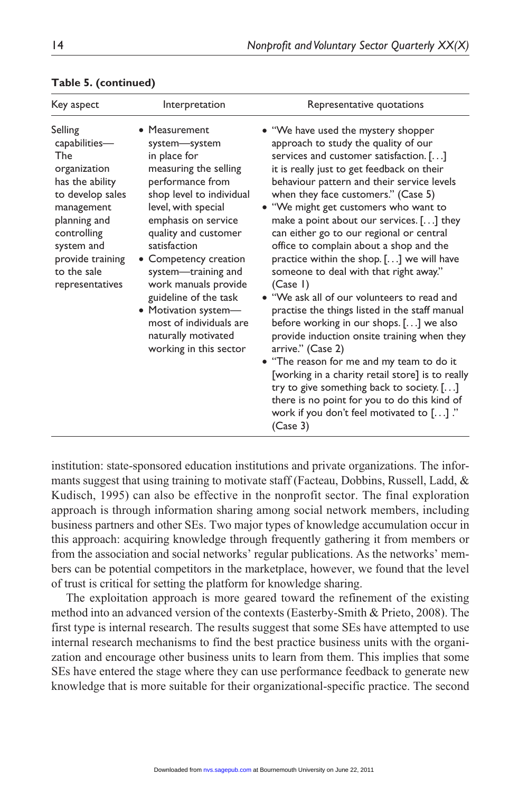| Key aspect                                                                                                                                                                                                     | Interpretation                                                                                                                                                                                                                                                                                                                                                                                                   | Representative quotations                                                                                                                                                                                                                                                                                                                                                                                                                                                                                                                                                                                                                                                                                                                                                                                                                                                                                                                                                                                     |
|----------------------------------------------------------------------------------------------------------------------------------------------------------------------------------------------------------------|------------------------------------------------------------------------------------------------------------------------------------------------------------------------------------------------------------------------------------------------------------------------------------------------------------------------------------------------------------------------------------------------------------------|---------------------------------------------------------------------------------------------------------------------------------------------------------------------------------------------------------------------------------------------------------------------------------------------------------------------------------------------------------------------------------------------------------------------------------------------------------------------------------------------------------------------------------------------------------------------------------------------------------------------------------------------------------------------------------------------------------------------------------------------------------------------------------------------------------------------------------------------------------------------------------------------------------------------------------------------------------------------------------------------------------------|
| Selling<br>capabilities-<br><b>The</b><br>organization<br>has the ability<br>to develop sales<br>management<br>planning and<br>controlling<br>system and<br>provide training<br>to the sale<br>representatives | • Measurement<br>system-system<br>in place for<br>measuring the selling<br>performance from<br>shop level to individual<br>level, with special<br>emphasis on service<br>quality and customer<br>satisfaction<br>Competency creation<br>system-training and<br>work manuals provide<br>guideline of the task<br>• Motivation system-<br>most of individuals are<br>naturally motivated<br>working in this sector | • "We have used the mystery shopper<br>approach to study the quality of our<br>services and customer satisfaction. []<br>it is really just to get feedback on their<br>behaviour pattern and their service levels<br>when they face customers." (Case 5)<br>• "We might get customers who want to<br>make a point about our services. [] they<br>can either go to our regional or central<br>office to complain about a shop and the<br>practice within the shop. [] we will have<br>someone to deal with that right away."<br>(Case I)<br>• "We ask all of our volunteers to read and<br>practise the things listed in the staff manual<br>before working in our shops. [] we also<br>provide induction onsite training when they<br>arrive." (Case 2)<br>• "The reason for me and my team to do it<br>[working in a charity retail store] is to really<br>try to give something back to society. []<br>there is no point for you to do this kind of<br>work if you don't feel motivated to []."<br>(Case 3) |

#### **Table 5. (continued)**

institution: state-sponsored education institutions and private organizations. The informants suggest that using training to motivate staff (Facteau, Dobbins, Russell, Ladd, & Kudisch, 1995) can also be effective in the nonprofit sector. The final exploration approach is through information sharing among social network members, including business partners and other SEs. Two major types of knowledge accumulation occur in this approach: acquiring knowledge through frequently gathering it from members or from the association and social networks' regular publications. As the networks' members can be potential competitors in the marketplace, however, we found that the level of trust is critical for setting the platform for knowledge sharing.

The exploitation approach is more geared toward the refinement of the existing method into an advanced version of the contexts (Easterby-Smith & Prieto, 2008). The first type is internal research. The results suggest that some SEs have attempted to use internal research mechanisms to find the best practice business units with the organization and encourage other business units to learn from them. This implies that some SEs have entered the stage where they can use performance feedback to generate new knowledge that is more suitable for their organizational-specific practice. The second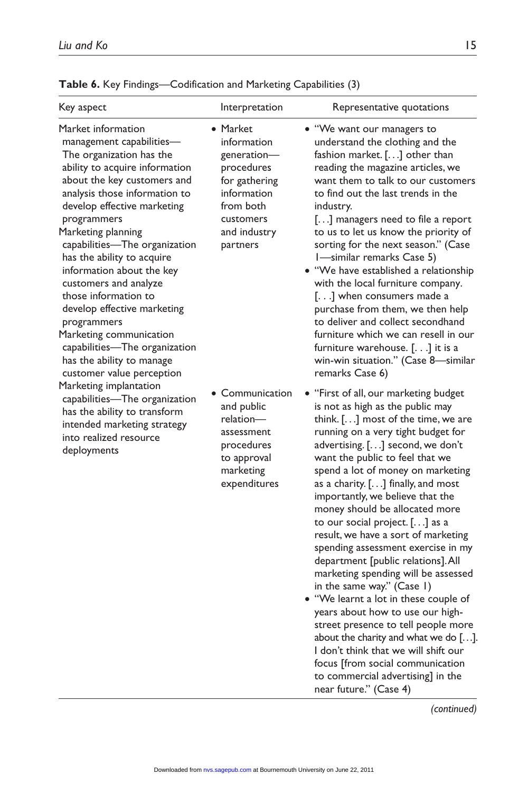| <b>i able 6.</b> Ney Findings—Codification and Plarketing Capabilities (3)                                                                                                                                                                                                                                                                                                                                                                                                                                                                                                                  |                                                                                                                                                    |                                                                                                                                                                                                                                                                                                                                                                                                                                                                                                                                                                                                                                                                                                                                                                                                                                                                                                                |
|---------------------------------------------------------------------------------------------------------------------------------------------------------------------------------------------------------------------------------------------------------------------------------------------------------------------------------------------------------------------------------------------------------------------------------------------------------------------------------------------------------------------------------------------------------------------------------------------|----------------------------------------------------------------------------------------------------------------------------------------------------|----------------------------------------------------------------------------------------------------------------------------------------------------------------------------------------------------------------------------------------------------------------------------------------------------------------------------------------------------------------------------------------------------------------------------------------------------------------------------------------------------------------------------------------------------------------------------------------------------------------------------------------------------------------------------------------------------------------------------------------------------------------------------------------------------------------------------------------------------------------------------------------------------------------|
| Key aspect                                                                                                                                                                                                                                                                                                                                                                                                                                                                                                                                                                                  | Interpretation                                                                                                                                     | Representative quotations                                                                                                                                                                                                                                                                                                                                                                                                                                                                                                                                                                                                                                                                                                                                                                                                                                                                                      |
| Market information<br>management capabilities—<br>The organization has the<br>ability to acquire information<br>about the key customers and<br>analysis those information to<br>develop effective marketing<br>programmers<br>Marketing planning<br>capabilities-The organization<br>has the ability to acquire<br>information about the key<br>customers and analyze<br>those information to<br>develop effective marketing<br>programmers<br>Marketing communication<br>capabilities-The organization<br>has the ability to manage<br>customer value perception<br>Marketing implantation | $\bullet$ Market<br>information<br>generation-<br>procedures<br>for gathering<br>information<br>from both<br>customers<br>and industry<br>partners | • "We want our managers to<br>understand the clothing and the<br>fashion market. [] other than<br>reading the magazine articles, we<br>want them to talk to our customers<br>to find out the last trends in the<br>industry.<br>$\left[\ldots\right]$ managers need to file a report<br>to us to let us know the priority of<br>sorting for the next season." (Case<br>I-similar remarks Case 5)<br>• "We have established a relationship<br>with the local furniture company.<br>[] when consumers made a<br>purchase from them, we then help<br>to deliver and collect secondhand<br>furniture which we can resell in our<br>furniture warehouse. [.] it is a<br>win-win situation." (Case 8-similar<br>remarks Case 6)                                                                                                                                                                                      |
| capabilities-The organization<br>has the ability to transform<br>intended marketing strategy<br>into realized resource<br>deployments                                                                                                                                                                                                                                                                                                                                                                                                                                                       | • Communication<br>and public<br>relation-<br>assessment<br>procedures<br>to approval<br>marketing<br>expenditures                                 | • "First of all, our marketing budget<br>is not as high as the public may<br>think. [] most of the time, we are<br>running on a very tight budget for<br>advertising. [] second, we don't<br>want the public to feel that we<br>spend a lot of money on marketing<br>as a charity. [] finally, and most<br>importantly, we believe that the<br>money should be allocated more<br>to our social project. [] as a<br>result, we have a sort of marketing<br>spending assessment exercise in my<br>department [public relations]. All<br>marketing spending will be assessed<br>in the same way." (Case I)<br>• "We learnt a lot in these couple of<br>years about how to use our high-<br>street presence to tell people more<br>about the charity and what we do [].<br>I don't think that we will shift our<br>focus [from social communication<br>to commercial advertising] in the<br>near future." (Case 4) |

**Table 6.** Key Findings—Codification and Marketing Capabilities (3)

*(continued)*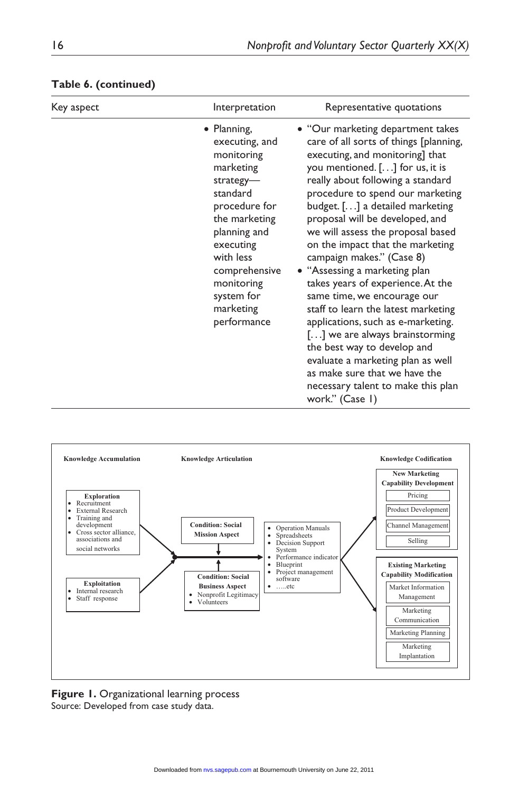| Key aspect | Interpretation                                                                                                                                                                                                                         | Representative quotations                                                                                                                                                                                                                                                                                                                                                                                                                                                                                                                                                                                                                                                                                                                                                                |
|------------|----------------------------------------------------------------------------------------------------------------------------------------------------------------------------------------------------------------------------------------|------------------------------------------------------------------------------------------------------------------------------------------------------------------------------------------------------------------------------------------------------------------------------------------------------------------------------------------------------------------------------------------------------------------------------------------------------------------------------------------------------------------------------------------------------------------------------------------------------------------------------------------------------------------------------------------------------------------------------------------------------------------------------------------|
|            | • Planning,<br>executing, and<br>monitoring<br>marketing<br>strategy-<br>standard<br>procedure for<br>the marketing<br>planning and<br>executing<br>with less<br>comprehensive<br>monitoring<br>system for<br>marketing<br>performance | • "Our marketing department takes<br>care of all sorts of things [planning,<br>executing, and monitoring] that<br>you mentioned. [] for us, it is<br>really about following a standard<br>procedure to spend our marketing<br>budget. [] a detailed marketing<br>proposal will be developed, and<br>we will assess the proposal based<br>on the impact that the marketing<br>campaign makes." (Case 8)<br>• "Assessing a marketing plan<br>takes years of experience. At the<br>same time, we encourage our<br>staff to learn the latest marketing<br>applications, such as e-marketing.<br>[] we are always brainstorming<br>the best way to develop and<br>evaluate a marketing plan as well<br>as make sure that we have the<br>necessary talent to make this plan<br>work." (Case I) |

# **Table 6. (continued)**



**Figure 1.** Organizational learning process Source: Developed from case study data.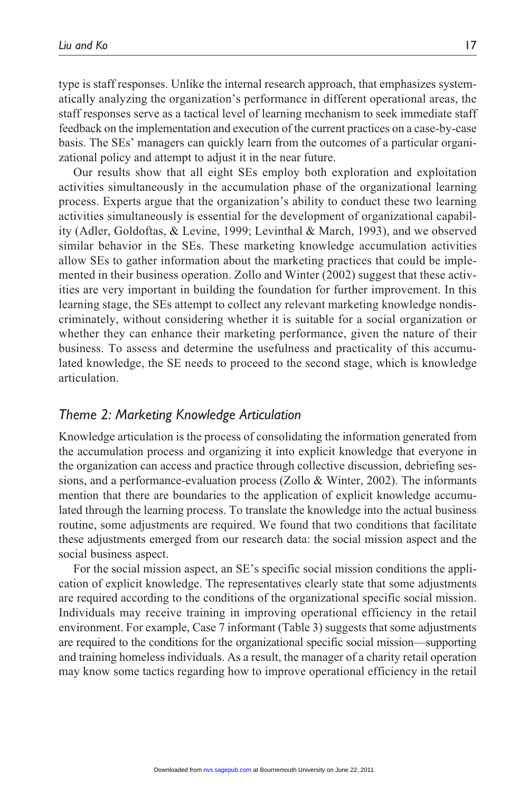type is staff responses. Unlike the internal research approach, that emphasizes systematically analyzing the organization's performance in different operational areas, the staff responses serve as a tactical level of learning mechanism to seek immediate staff feedback on the implementation and execution of the current practices on a case-by-case basis. The SEs' managers can quickly learn from the outcomes of a particular organizational policy and attempt to adjust it in the near future.

Our results show that all eight SEs employ both exploration and exploitation activities simultaneously in the accumulation phase of the organizational learning process. Experts argue that the organization's ability to conduct these two learning activities simultaneously is essential for the development of organizational capability (Adler, Goldoftas, & Levine, 1999; Levinthal & March, 1993), and we observed similar behavior in the SEs. These marketing knowledge accumulation activities allow SEs to gather information about the marketing practices that could be implemented in their business operation. Zollo and Winter (2002) suggest that these activities are very important in building the foundation for further improvement. In this learning stage, the SEs attempt to collect any relevant marketing knowledge nondiscriminately, without considering whether it is suitable for a social organization or whether they can enhance their marketing performance, given the nature of their business. To assess and determine the usefulness and practicality of this accumulated knowledge, the SE needs to proceed to the second stage, which is knowledge articulation.

# *Theme 2: Marketing Knowledge Articulation*

Knowledge articulation is the process of consolidating the information generated from the accumulation process and organizing it into explicit knowledge that everyone in the organization can access and practice through collective discussion, debriefing sessions, and a performance-evaluation process (Zollo  $&$  Winter, 2002). The informants mention that there are boundaries to the application of explicit knowledge accumulated through the learning process. To translate the knowledge into the actual business routine, some adjustments are required. We found that two conditions that facilitate these adjustments emerged from our research data: the social mission aspect and the social business aspect.

For the social mission aspect, an SE's specific social mission conditions the application of explicit knowledge. The representatives clearly state that some adjustments are required according to the conditions of the organizational specific social mission. Individuals may receive training in improving operational efficiency in the retail environment. For example, Case 7 informant (Table 3) suggests that some adjustments are required to the conditions for the organizational specific social mission—supporting and training homeless individuals. As a result, the manager of a charity retail operation may know some tactics regarding how to improve operational efficiency in the retail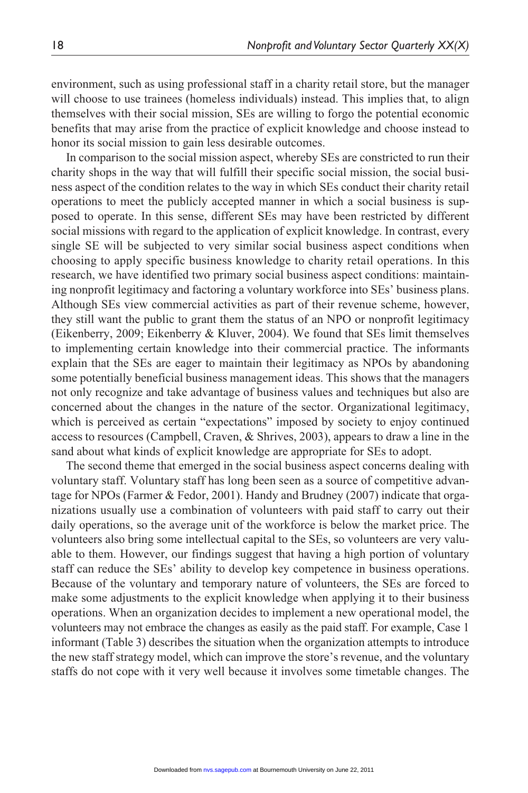environment, such as using professional staff in a charity retail store, but the manager will choose to use trainees (homeless individuals) instead. This implies that, to align themselves with their social mission, SEs are willing to forgo the potential economic benefits that may arise from the practice of explicit knowledge and choose instead to honor its social mission to gain less desirable outcomes.

In comparison to the social mission aspect, whereby SEs are constricted to run their charity shops in the way that will fulfill their specific social mission, the social business aspect of the condition relates to the way in which SEs conduct their charity retail operations to meet the publicly accepted manner in which a social business is supposed to operate. In this sense, different SEs may have been restricted by different social missions with regard to the application of explicit knowledge. In contrast, every single SE will be subjected to very similar social business aspect conditions when choosing to apply specific business knowledge to charity retail operations. In this research, we have identified two primary social business aspect conditions: maintaining nonprofit legitimacy and factoring a voluntary workforce into SEs' business plans. Although SEs view commercial activities as part of their revenue scheme, however, they still want the public to grant them the status of an NPO or nonprofit legitimacy (Eikenberry, 2009; Eikenberry & Kluver, 2004). We found that SEs limit themselves to implementing certain knowledge into their commercial practice. The informants explain that the SEs are eager to maintain their legitimacy as NPOs by abandoning some potentially beneficial business management ideas. This shows that the managers not only recognize and take advantage of business values and techniques but also are concerned about the changes in the nature of the sector. Organizational legitimacy, which is perceived as certain "expectations" imposed by society to enjoy continued access to resources (Campbell, Craven, & Shrives, 2003), appears to draw a line in the sand about what kinds of explicit knowledge are appropriate for SEs to adopt.

The second theme that emerged in the social business aspect concerns dealing with voluntary staff. Voluntary staff has long been seen as a source of competitive advantage for NPOs (Farmer & Fedor, 2001). Handy and Brudney (2007) indicate that organizations usually use a combination of volunteers with paid staff to carry out their daily operations, so the average unit of the workforce is below the market price. The volunteers also bring some intellectual capital to the SEs, so volunteers are very valuable to them. However, our findings suggest that having a high portion of voluntary staff can reduce the SEs' ability to develop key competence in business operations. Because of the voluntary and temporary nature of volunteers, the SEs are forced to make some adjustments to the explicit knowledge when applying it to their business operations. When an organization decides to implement a new operational model, the volunteers may not embrace the changes as easily as the paid staff. For example, Case 1 informant (Table 3) describes the situation when the organization attempts to introduce the new staff strategy model, which can improve the store's revenue, and the voluntary staffs do not cope with it very well because it involves some timetable changes. The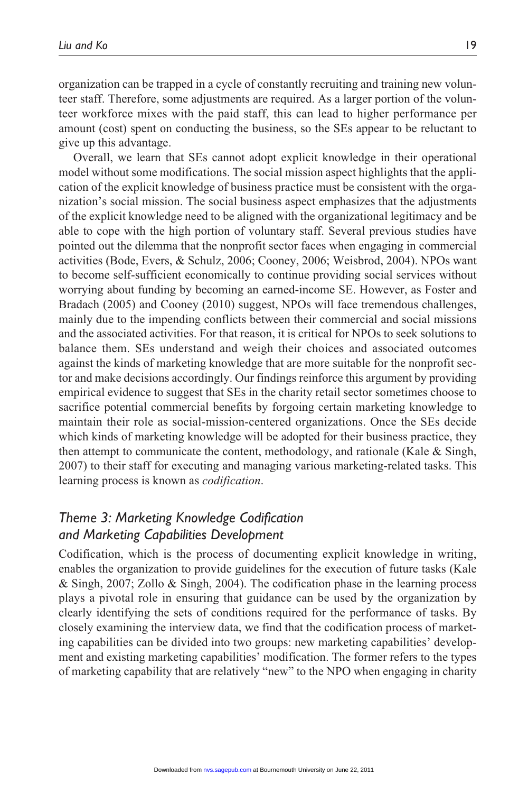organization can be trapped in a cycle of constantly recruiting and training new volunteer staff. Therefore, some adjustments are required. As a larger portion of the volunteer workforce mixes with the paid staff, this can lead to higher performance per amount (cost) spent on conducting the business, so the SEs appear to be reluctant to give up this advantage.

Overall, we learn that SEs cannot adopt explicit knowledge in their operational model without some modifications. The social mission aspect highlights that the application of the explicit knowledge of business practice must be consistent with the organization's social mission. The social business aspect emphasizes that the adjustments of the explicit knowledge need to be aligned with the organizational legitimacy and be able to cope with the high portion of voluntary staff. Several previous studies have pointed out the dilemma that the nonprofit sector faces when engaging in commercial activities (Bode, Evers, & Schulz, 2006; Cooney, 2006; Weisbrod, 2004). NPOs want to become self-sufficient economically to continue providing social services without worrying about funding by becoming an earned-income SE. However, as Foster and Bradach (2005) and Cooney (2010) suggest, NPOs will face tremendous challenges, mainly due to the impending conflicts between their commercial and social missions and the associated activities. For that reason, it is critical for NPOs to seek solutions to balance them. SEs understand and weigh their choices and associated outcomes against the kinds of marketing knowledge that are more suitable for the nonprofit sector and make decisions accordingly. Our findings reinforce this argument by providing empirical evidence to suggest that SEs in the charity retail sector sometimes choose to sacrifice potential commercial benefits by forgoing certain marketing knowledge to maintain their role as social-mission-centered organizations. Once the SEs decide which kinds of marketing knowledge will be adopted for their business practice, they then attempt to communicate the content, methodology, and rationale (Kale & Singh, 2007) to their staff for executing and managing various marketing-related tasks. This learning process is known as *codification*.

# *Theme 3: Marketing Knowledge Codification and Marketing Capabilities Development*

Codification, which is the process of documenting explicit knowledge in writing, enables the organization to provide guidelines for the execution of future tasks (Kale & Singh, 2007; Zollo & Singh, 2004). The codification phase in the learning process plays a pivotal role in ensuring that guidance can be used by the organization by clearly identifying the sets of conditions required for the performance of tasks. By closely examining the interview data, we find that the codification process of marketing capabilities can be divided into two groups: new marketing capabilities' development and existing marketing capabilities' modification. The former refers to the types of marketing capability that are relatively "new" to the NPO when engaging in charity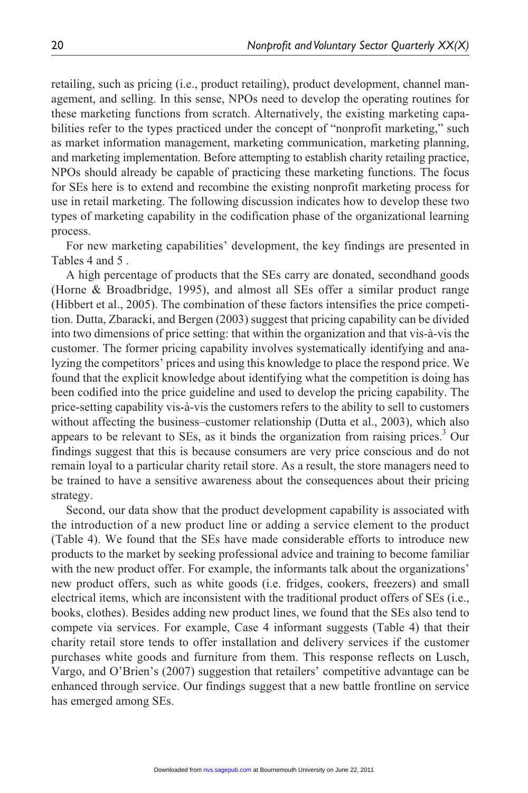retailing, such as pricing (i.e., product retailing), product development, channel management, and selling. In this sense, NPOs need to develop the operating routines for these marketing functions from scratch. Alternatively, the existing marketing capabilities refer to the types practiced under the concept of "nonprofit marketing," such as market information management, marketing communication, marketing planning, and marketing implementation. Before attempting to establish charity retailing practice, NPOs should already be capable of practicing these marketing functions. The focus for SEs here is to extend and recombine the existing nonprofit marketing process for use in retail marketing. The following discussion indicates how to develop these two types of marketing capability in the codification phase of the organizational learning process.

For new marketing capabilities' development, the key findings are presented in Tables 4 and 5 .

A high percentage of products that the SEs carry are donated, secondhand goods (Horne & Broadbridge, 1995), and almost all SEs offer a similar product range (Hibbert et al., 2005). The combination of these factors intensifies the price competition. Dutta, Zbaracki, and Bergen (2003) suggest that pricing capability can be divided into two dimensions of price setting: that within the organization and that vis-à-vis the customer. The former pricing capability involves systematically identifying and analyzing the competitors' prices and using this knowledge to place the respond price. We found that the explicit knowledge about identifying what the competition is doing has been codified into the price guideline and used to develop the pricing capability. The price-setting capability vis-à-vis the customers refers to the ability to sell to customers without affecting the business–customer relationship (Dutta et al., 2003), which also appears to be relevant to SEs, as it binds the organization from raising prices.<sup>3</sup> Our findings suggest that this is because consumers are very price conscious and do not remain loyal to a particular charity retail store. As a result, the store managers need to be trained to have a sensitive awareness about the consequences about their pricing strategy.

Second, our data show that the product development capability is associated with the introduction of a new product line or adding a service element to the product (Table 4). We found that the SEs have made considerable efforts to introduce new products to the market by seeking professional advice and training to become familiar with the new product offer. For example, the informants talk about the organizations' new product offers, such as white goods (i.e. fridges, cookers, freezers) and small electrical items, which are inconsistent with the traditional product offers of SEs (i.e., books, clothes). Besides adding new product lines, we found that the SEs also tend to compete via services. For example, Case 4 informant suggests (Table 4) that their charity retail store tends to offer installation and delivery services if the customer purchases white goods and furniture from them. This response reflects on Lusch, Vargo, and O'Brien's (2007) suggestion that retailers' competitive advantage can be enhanced through service. Our findings suggest that a new battle frontline on service has emerged among SEs.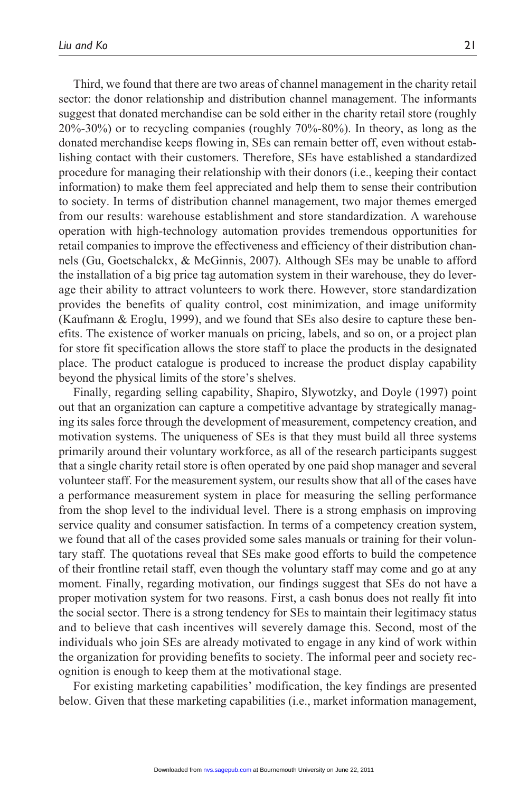Third, we found that there are two areas of channel management in the charity retail sector: the donor relationship and distribution channel management. The informants suggest that donated merchandise can be sold either in the charity retail store (roughly 20%-30%) or to recycling companies (roughly 70%-80%). In theory, as long as the donated merchandise keeps flowing in, SEs can remain better off, even without establishing contact with their customers. Therefore, SEs have established a standardized procedure for managing their relationship with their donors (i.e., keeping their contact information) to make them feel appreciated and help them to sense their contribution to society. In terms of distribution channel management, two major themes emerged from our results: warehouse establishment and store standardization. A warehouse operation with high-technology automation provides tremendous opportunities for retail companies to improve the effectiveness and efficiency of their distribution channels (Gu, Goetschalckx, & McGinnis, 2007). Although SEs may be unable to afford the installation of a big price tag automation system in their warehouse, they do leverage their ability to attract volunteers to work there. However, store standardization provides the benefits of quality control, cost minimization, and image uniformity (Kaufmann & Eroglu, 1999), and we found that SEs also desire to capture these benefits. The existence of worker manuals on pricing, labels, and so on, or a project plan for store fit specification allows the store staff to place the products in the designated place. The product catalogue is produced to increase the product display capability beyond the physical limits of the store's shelves.

Finally, regarding selling capability, Shapiro, Slywotzky, and Doyle (1997) point out that an organization can capture a competitive advantage by strategically managing its sales force through the development of measurement, competency creation, and motivation systems. The uniqueness of SEs is that they must build all three systems primarily around their voluntary workforce, as all of the research participants suggest that a single charity retail store is often operated by one paid shop manager and several volunteer staff. For the measurement system, our results show that all of the cases have a performance measurement system in place for measuring the selling performance from the shop level to the individual level. There is a strong emphasis on improving service quality and consumer satisfaction. In terms of a competency creation system, we found that all of the cases provided some sales manuals or training for their voluntary staff. The quotations reveal that SEs make good efforts to build the competence of their frontline retail staff, even though the voluntary staff may come and go at any moment. Finally, regarding motivation, our findings suggest that SEs do not have a proper motivation system for two reasons. First, a cash bonus does not really fit into the social sector. There is a strong tendency for SEs to maintain their legitimacy status and to believe that cash incentives will severely damage this. Second, most of the individuals who join SEs are already motivated to engage in any kind of work within the organization for providing benefits to society. The informal peer and society recognition is enough to keep them at the motivational stage.

For existing marketing capabilities' modification, the key findings are presented below. Given that these marketing capabilities (i.e., market information management,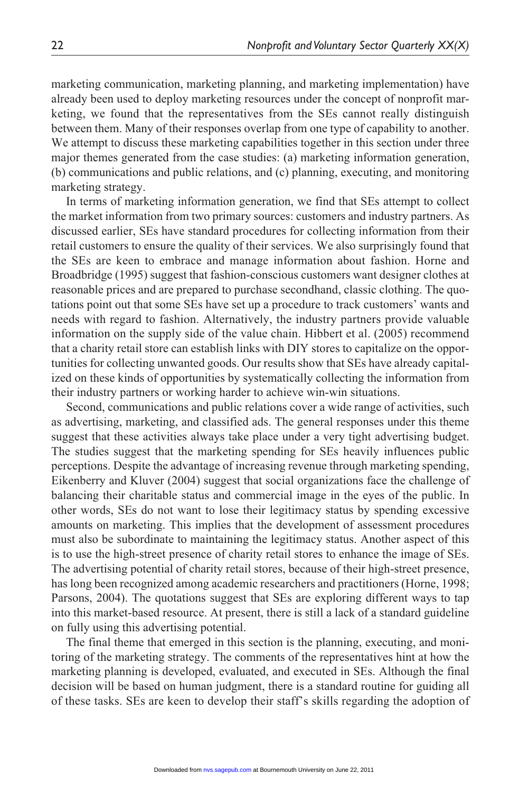marketing communication, marketing planning, and marketing implementation) have already been used to deploy marketing resources under the concept of nonprofit marketing, we found that the representatives from the SEs cannot really distinguish between them. Many of their responses overlap from one type of capability to another. We attempt to discuss these marketing capabilities together in this section under three major themes generated from the case studies: (a) marketing information generation, (b) communications and public relations, and (c) planning, executing, and monitoring marketing strategy.

In terms of marketing information generation, we find that SEs attempt to collect the market information from two primary sources: customers and industry partners. As discussed earlier, SEs have standard procedures for collecting information from their retail customers to ensure the quality of their services. We also surprisingly found that the SEs are keen to embrace and manage information about fashion. Horne and Broadbridge (1995) suggest that fashion-conscious customers want designer clothes at reasonable prices and are prepared to purchase secondhand, classic clothing. The quotations point out that some SEs have set up a procedure to track customers' wants and needs with regard to fashion. Alternatively, the industry partners provide valuable information on the supply side of the value chain. Hibbert et al. (2005) recommend that a charity retail store can establish links with DIY stores to capitalize on the opportunities for collecting unwanted goods. Our results show that SEs have already capitalized on these kinds of opportunities by systematically collecting the information from their industry partners or working harder to achieve win-win situations.

Second, communications and public relations cover a wide range of activities, such as advertising, marketing, and classified ads. The general responses under this theme suggest that these activities always take place under a very tight advertising budget. The studies suggest that the marketing spending for SEs heavily influences public perceptions. Despite the advantage of increasing revenue through marketing spending, Eikenberry and Kluver (2004) suggest that social organizations face the challenge of balancing their charitable status and commercial image in the eyes of the public. In other words, SEs do not want to lose their legitimacy status by spending excessive amounts on marketing. This implies that the development of assessment procedures must also be subordinate to maintaining the legitimacy status. Another aspect of this is to use the high-street presence of charity retail stores to enhance the image of SEs. The advertising potential of charity retail stores, because of their high-street presence, has long been recognized among academic researchers and practitioners (Horne, 1998; Parsons, 2004). The quotations suggest that SEs are exploring different ways to tap into this market-based resource. At present, there is still a lack of a standard guideline on fully using this advertising potential.

The final theme that emerged in this section is the planning, executing, and monitoring of the marketing strategy. The comments of the representatives hint at how the marketing planning is developed, evaluated, and executed in SEs. Although the final decision will be based on human judgment, there is a standard routine for guiding all of these tasks. SEs are keen to develop their staff's skills regarding the adoption of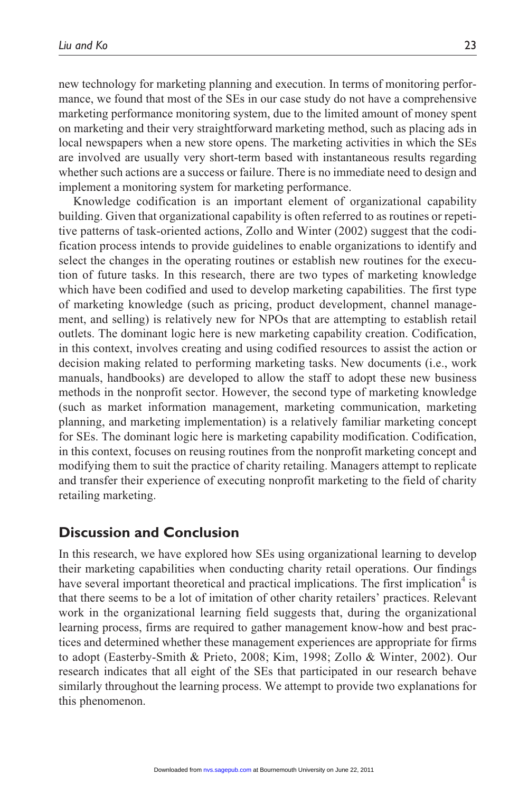new technology for marketing planning and execution. In terms of monitoring performance, we found that most of the SEs in our case study do not have a comprehensive marketing performance monitoring system, due to the limited amount of money spent on marketing and their very straightforward marketing method, such as placing ads in local newspapers when a new store opens. The marketing activities in which the SEs are involved are usually very short-term based with instantaneous results regarding whether such actions are a success or failure. There is no immediate need to design and implement a monitoring system for marketing performance.

Knowledge codification is an important element of organizational capability building. Given that organizational capability is often referred to as routines or repetitive patterns of task-oriented actions, Zollo and Winter (2002) suggest that the codification process intends to provide guidelines to enable organizations to identify and select the changes in the operating routines or establish new routines for the execution of future tasks. In this research, there are two types of marketing knowledge which have been codified and used to develop marketing capabilities. The first type of marketing knowledge (such as pricing, product development, channel management, and selling) is relatively new for NPOs that are attempting to establish retail outlets. The dominant logic here is new marketing capability creation. Codification, in this context, involves creating and using codified resources to assist the action or decision making related to performing marketing tasks. New documents (i.e., work manuals, handbooks) are developed to allow the staff to adopt these new business methods in the nonprofit sector. However, the second type of marketing knowledge (such as market information management, marketing communication, marketing planning, and marketing implementation) is a relatively familiar marketing concept for SEs. The dominant logic here is marketing capability modification. Codification, in this context, focuses on reusing routines from the nonprofit marketing concept and modifying them to suit the practice of charity retailing. Managers attempt to replicate and transfer their experience of executing nonprofit marketing to the field of charity retailing marketing.

# **Discussion and Conclusion**

In this research, we have explored how SEs using organizational learning to develop their marketing capabilities when conducting charity retail operations. Our findings have several important theoretical and practical implications. The first implication<sup>4</sup> is that there seems to be a lot of imitation of other charity retailers' practices. Relevant work in the organizational learning field suggests that, during the organizational learning process, firms are required to gather management know-how and best practices and determined whether these management experiences are appropriate for firms to adopt (Easterby-Smith & Prieto, 2008; Kim, 1998; Zollo & Winter, 2002). Our research indicates that all eight of the SEs that participated in our research behave similarly throughout the learning process. We attempt to provide two explanations for this phenomenon.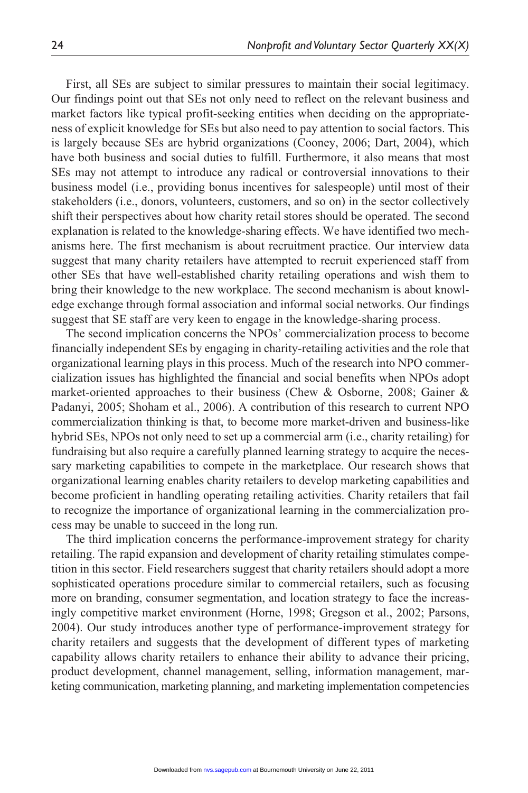First, all SEs are subject to similar pressures to maintain their social legitimacy. Our findings point out that SEs not only need to reflect on the relevant business and market factors like typical profit-seeking entities when deciding on the appropriateness of explicit knowledge for SEs but also need to pay attention to social factors. This is largely because SEs are hybrid organizations (Cooney, 2006; Dart, 2004), which have both business and social duties to fulfill. Furthermore, it also means that most SEs may not attempt to introduce any radical or controversial innovations to their business model (i.e., providing bonus incentives for salespeople) until most of their stakeholders (i.e., donors, volunteers, customers, and so on) in the sector collectively shift their perspectives about how charity retail stores should be operated. The second explanation is related to the knowledge-sharing effects. We have identified two mechanisms here. The first mechanism is about recruitment practice. Our interview data suggest that many charity retailers have attempted to recruit experienced staff from other SEs that have well-established charity retailing operations and wish them to bring their knowledge to the new workplace. The second mechanism is about knowledge exchange through formal association and informal social networks. Our findings suggest that SE staff are very keen to engage in the knowledge-sharing process.

The second implication concerns the NPOs' commercialization process to become financially independent SEs by engaging in charity-retailing activities and the role that organizational learning plays in this process. Much of the research into NPO commercialization issues has highlighted the financial and social benefits when NPOs adopt market-oriented approaches to their business (Chew & Osborne, 2008; Gainer & Padanyi, 2005; Shoham et al., 2006). A contribution of this research to current NPO commercialization thinking is that, to become more market-driven and business-like hybrid SEs, NPOs not only need to set up a commercial arm (i.e., charity retailing) for fundraising but also require a carefully planned learning strategy to acquire the necessary marketing capabilities to compete in the marketplace. Our research shows that organizational learning enables charity retailers to develop marketing capabilities and become proficient in handling operating retailing activities. Charity retailers that fail to recognize the importance of organizational learning in the commercialization process may be unable to succeed in the long run.

The third implication concerns the performance-improvement strategy for charity retailing. The rapid expansion and development of charity retailing stimulates competition in this sector. Field researchers suggest that charity retailers should adopt a more sophisticated operations procedure similar to commercial retailers, such as focusing more on branding, consumer segmentation, and location strategy to face the increasingly competitive market environment (Horne, 1998; Gregson et al., 2002; Parsons, 2004). Our study introduces another type of performance-improvement strategy for charity retailers and suggests that the development of different types of marketing capability allows charity retailers to enhance their ability to advance their pricing, product development, channel management, selling, information management, marketing communication, marketing planning, and marketing implementation competencies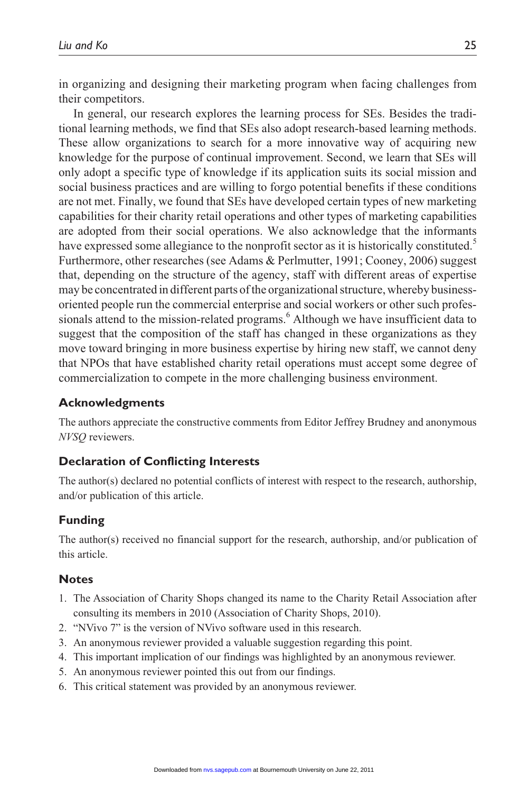in organizing and designing their marketing program when facing challenges from their competitors.

In general, our research explores the learning process for SEs. Besides the traditional learning methods, we find that SEs also adopt research-based learning methods. These allow organizations to search for a more innovative way of acquiring new knowledge for the purpose of continual improvement. Second, we learn that SEs will only adopt a specific type of knowledge if its application suits its social mission and social business practices and are willing to forgo potential benefits if these conditions are not met. Finally, we found that SEs have developed certain types of new marketing capabilities for their charity retail operations and other types of marketing capabilities are adopted from their social operations. We also acknowledge that the informants have expressed some allegiance to the nonprofit sector as it is historically constituted.<sup>5</sup> Furthermore, other researches (see Adams & Perlmutter, 1991; Cooney, 2006) suggest that, depending on the structure of the agency, staff with different areas of expertise may be concentrated in different parts of the organizational structure, whereby businessoriented people run the commercial enterprise and social workers or other such professionals attend to the mission-related programs.<sup>6</sup> Although we have insufficient data to suggest that the composition of the staff has changed in these organizations as they move toward bringing in more business expertise by hiring new staff, we cannot deny that NPOs that have established charity retail operations must accept some degree of commercialization to compete in the more challenging business environment.

# **Acknowledgments**

The authors appreciate the constructive comments from Editor Jeffrey Brudney and anonymous *NVSQ* reviewers.

# **Declaration of Conflicting Interests**

The author(s) declared no potential conflicts of interest with respect to the research, authorship, and/or publication of this article.

# **Funding**

The author(s) received no financial support for the research, authorship, and/or publication of this article.

# **Notes**

- 1. The Association of Charity Shops changed its name to the Charity Retail Association after consulting its members in 2010 (Association of Charity Shops, 2010).
- 2. "NVivo 7" is the version of NVivo software used in this research.
- 3. An anonymous reviewer provided a valuable suggestion regarding this point.
- 4. This important implication of our findings was highlighted by an anonymous reviewer.
- 5. An anonymous reviewer pointed this out from our findings.
- 6. This critical statement was provided by an anonymous reviewer.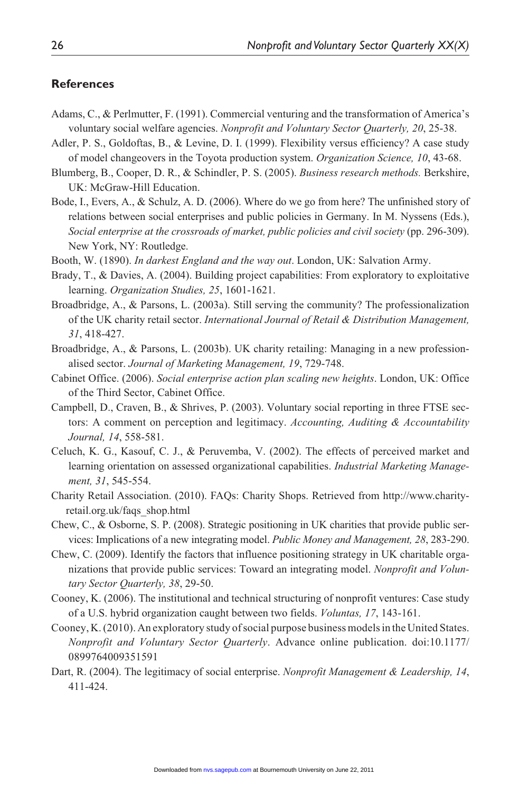#### **References**

- Adams, C., & Perlmutter, F. (1991). Commercial venturing and the transformation of America's voluntary social welfare agencies. *Nonprofit and Voluntary Sector Quarterly, 20*, 25-38.
- Adler, P. S., Goldoftas, B., & Levine, D. I. (1999). Flexibility versus efficiency? A case study of model changeovers in the Toyota production system. *Organization Science, 10*, 43-68.
- Blumberg, B., Cooper, D. R., & Schindler, P. S. (2005). *Business research methods.* Berkshire, UK: McGraw-Hill Education.
- Bode, I., Evers, A., & Schulz, A. D. (2006). Where do we go from here? The unfinished story of relations between social enterprises and public policies in Germany. In M. Nyssens (Eds.), *Social enterprise at the crossroads of market, public policies and civil society* (pp. 296-309). New York, NY: Routledge.
- Booth, W. (1890). *In darkest England and the way out*. London, UK: Salvation Army.
- Brady, T., & Davies, A. (2004). Building project capabilities: From exploratory to exploitative learning. *Organization Studies, 25*, 1601-1621.
- Broadbridge, A., & Parsons, L. (2003a). Still serving the community? The professionalization of the UK charity retail sector. *International Journal of Retail & Distribution Management, 31*, 418-427.
- Broadbridge, A., & Parsons, L. (2003b). UK charity retailing: Managing in a new professionalised sector. *Journal of Marketing Management, 19*, 729-748.
- Cabinet Office. (2006). *Social enterprise action plan scaling new heights*. London, UK: Office of the Third Sector, Cabinet Office.
- Campbell, D., Craven, B., & Shrives, P. (2003). Voluntary social reporting in three FTSE sectors: A comment on perception and legitimacy. *Accounting, Auditing & Accountability Journal, 14*, 558-581.
- Celuch, K. G., Kasouf, C. J., & Peruvemba, V. (2002). The effects of perceived market and learning orientation on assessed organizational capabilities. *Industrial Marketing Management, 31*, 545-554.
- Charity Retail Association. (2010). FAQs: Charity Shops. Retrieved from http://www.charityretail.org.uk/faqs\_shop.html
- Chew, C., & Osborne, S. P. (2008). Strategic positioning in UK charities that provide public services: Implications of a new integrating model. *Public Money and Management, 28*, 283-290.
- Chew, C. (2009). Identify the factors that influence positioning strategy in UK charitable organizations that provide public services: Toward an integrating model. *Nonprofit and Voluntary Sector Quarterly, 38*, 29-50.
- Cooney, K. (2006). The institutional and technical structuring of nonprofit ventures: Case study of a U.S. hybrid organization caught between two fields. *Voluntas, 17*, 143-161.
- Cooney, K. (2010). An exploratory study of social purpose business models in the United States. *Nonprofit and Voluntary Sector Quarterly*. Advance online publication. doi:10.1177/ 0899764009351591
- Dart, R. (2004). The legitimacy of social enterprise. *Nonprofit Management & Leadership, 14*, 411-424.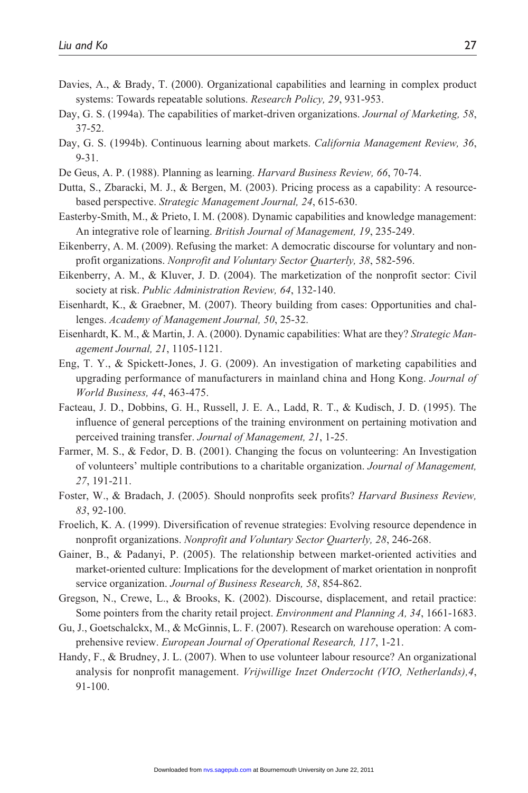- Davies, A., & Brady, T. (2000). Organizational capabilities and learning in complex product systems: Towards repeatable solutions. *Research Policy, 29*, 931-953.
- Day, G. S. (1994a). The capabilities of market-driven organizations. *Journal of Marketing, 58*, 37-52.
- Day, G. S. (1994b). Continuous learning about markets. *California Management Review, 36*, 9-31.
- De Geus, A. P. (1988). Planning as learning. *Harvard Business Review, 66*, 70-74.
- Dutta, S., Zbaracki, M. J., & Bergen, M. (2003). Pricing process as a capability: A resourcebased perspective. *Strategic Management Journal, 24*, 615-630.
- Easterby-Smith, M., & Prieto, I. M. (2008). Dynamic capabilities and knowledge management: An integrative role of learning. *British Journal of Management, 19*, 235-249.
- Eikenberry, A. M. (2009). Refusing the market: A democratic discourse for voluntary and nonprofit organizations. *Nonprofit and Voluntary Sector Quarterly, 38*, 582-596.
- Eikenberry, A. M., & Kluver, J. D. (2004). The marketization of the nonprofit sector: Civil society at risk. *Public Administration Review, 64*, 132-140.
- Eisenhardt, K., & Graebner, M. (2007). Theory building from cases: Opportunities and challenges. *Academy of Management Journal, 50*, 25-32.
- Eisenhardt, K. M., & Martin, J. A. (2000). Dynamic capabilities: What are they? *Strategic Management Journal, 21*, 1105-1121.
- Eng, T. Y., & Spickett-Jones, J. G. (2009). An investigation of marketing capabilities and upgrading performance of manufacturers in mainland china and Hong Kong. *Journal of World Business, 44*, 463-475.
- Facteau, J. D., Dobbins, G. H., Russell, J. E. A., Ladd, R. T., & Kudisch, J. D. (1995). The influence of general perceptions of the training environment on pertaining motivation and perceived training transfer. *Journal of Management, 21*, 1-25.
- Farmer, M. S., & Fedor, D. B. (2001). Changing the focus on volunteering: An Investigation of volunteers' multiple contributions to a charitable organization. *Journal of Management, 27*, 191-211.
- Foster, W., & Bradach, J. (2005). Should nonprofits seek profits? *Harvard Business Review, 83*, 92-100.
- Froelich, K. A. (1999). Diversification of revenue strategies: Evolving resource dependence in nonprofit organizations. *Nonprofit and Voluntary Sector Quarterly, 28*, 246-268.
- Gainer, B., & Padanyi, P. (2005). The relationship between market-oriented activities and market-oriented culture: Implications for the development of market orientation in nonprofit service organization. *Journal of Business Research, 58*, 854-862.
- Gregson, N., Crewe, L., & Brooks, K. (2002). Discourse, displacement, and retail practice: Some pointers from the charity retail project. *Environment and Planning A, 34*, 1661-1683.
- Gu, J., Goetschalckx, M., & McGinnis, L. F. (2007). Research on warehouse operation: A comprehensive review. *European Journal of Operational Research, 117*, 1-21.
- Handy, F., & Brudney, J. L. (2007). When to use volunteer labour resource? An organizational analysis for nonprofit management. *Vrijwillige Inzet Onderzocht (VIO, Netherlands),4*, 91-100.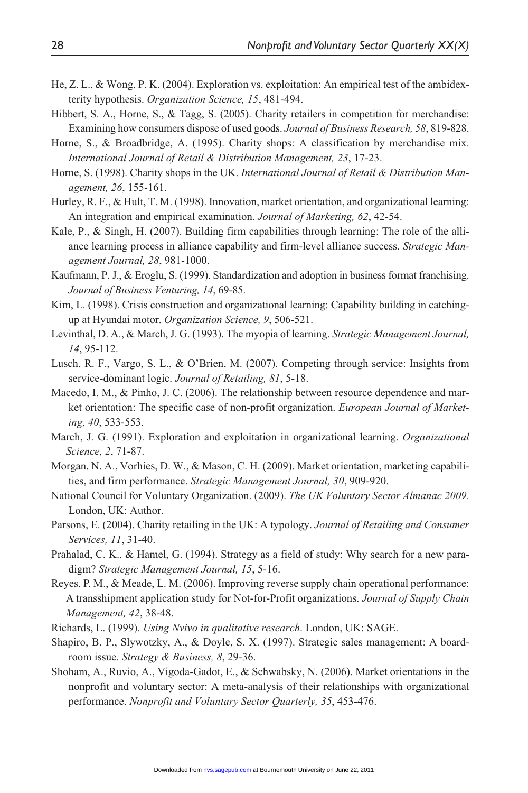- He, Z. L., & Wong, P. K. (2004). Exploration vs. exploitation: An empirical test of the ambidexterity hypothesis. *Organization Science, 15*, 481-494.
- Hibbert, S. A., Horne, S., & Tagg, S. (2005). Charity retailers in competition for merchandise: Examining how consumers dispose of used goods. *Journal of Business Research, 58*, 819-828.
- Horne, S., & Broadbridge, A. (1995). Charity shops: A classification by merchandise mix. *International Journal of Retail & Distribution Management, 23*, 17-23.
- Horne, S. (1998). Charity shops in the UK. *International Journal of Retail & Distribution Management, 26*, 155-161.
- Hurley, R. F., & Hult, T. M. (1998). Innovation, market orientation, and organizational learning: An integration and empirical examination. *Journal of Marketing, 62*, 42-54.
- Kale, P., & Singh, H. (2007). Building firm capabilities through learning: The role of the alliance learning process in alliance capability and firm-level alliance success. *Strategic Management Journal, 28*, 981-1000.
- Kaufmann, P. J., & Eroglu, S. (1999). Standardization and adoption in business format franchising. *Journal of Business Venturing, 14*, 69-85.
- Kim, L. (1998). Crisis construction and organizational learning: Capability building in catchingup at Hyundai motor. *Organization Science, 9*, 506-521.
- Levinthal, D. A., & March, J. G. (1993). The myopia of learning. *Strategic Management Journal, 14*, 95-112.
- Lusch, R. F., Vargo, S. L., & O'Brien, M. (2007). Competing through service: Insights from service-dominant logic. *Journal of Retailing, 81*, 5-18.
- Macedo, I. M., & Pinho, J. C. (2006). The relationship between resource dependence and market orientation: The specific case of non-profit organization. *European Journal of Marketing, 40*, 533-553.
- March, J. G. (1991). Exploration and exploitation in organizational learning. *Organizational Science, 2*, 71-87.
- Morgan, N. A., Vorhies, D. W., & Mason, C. H. (2009). Market orientation, marketing capabilities, and firm performance. *Strategic Management Journal, 30*, 909-920.
- National Council for Voluntary Organization. (2009). *The UK Voluntary Sector Almanac 2009*. London, UK: Author.
- Parsons, E. (2004). Charity retailing in the UK: A typology. *Journal of Retailing and Consumer Services, 11*, 31-40.
- Prahalad, C. K., & Hamel, G. (1994). Strategy as a field of study: Why search for a new paradigm? *Strategic Management Journal, 15*, 5-16.
- Reyes, P. M., & Meade, L. M. (2006). Improving reverse supply chain operational performance: A transshipment application study for Not-for-Profit organizations. *Journal of Supply Chain Management, 42*, 38-48.
- Richards, L. (1999). *Using Nvivo in qualitative research*. London, UK: SAGE.
- Shapiro, B. P., Slywotzky, A., & Doyle, S. X. (1997). Strategic sales management: A boardroom issue. *Strategy & Business, 8*, 29-36.
- Shoham, A., Ruvio, A., Vigoda-Gadot, E., & Schwabsky, N. (2006). Market orientations in the nonprofit and voluntary sector: A meta-analysis of their relationships with organizational performance. *Nonprofit and Voluntary Sector Quarterly, 35*, 453-476.